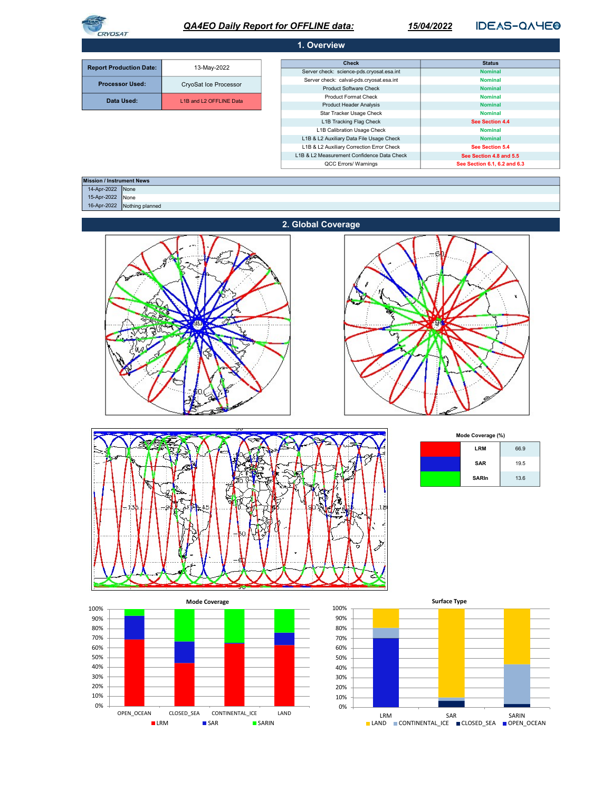| <b>PVOSA7</b> |  |
|---------------|--|

# **QA4EO Daily Report for OFFLINE data:**

15/04/2022

**IDEAS-QAYEO** 

|                                                                          |                               | 1. Overview                                                                             |                                            |
|--------------------------------------------------------------------------|-------------------------------|-----------------------------------------------------------------------------------------|--------------------------------------------|
|                                                                          |                               | Check                                                                                   | <b>Status</b>                              |
| <b>Report Production Date:</b>                                           | 13-May-2022                   | Server check: science-pds.cryosat.esa.int                                               | <b>Nominal</b>                             |
| <b>Processor Used:</b>                                                   | CryoSat Ice Processor         | Server check: calval-pds.cryosat.esa.int<br>Product Software Check                      | <b>Nominal</b><br>Nominal                  |
|                                                                          | L1B and L2 OFFLINE Data       | Product Format Check                                                                    | <b>Nominal</b>                             |
| Data Used:                                                               |                               | <b>Product Header Analysis</b>                                                          | Nominal                                    |
|                                                                          |                               | Star Tracker Usage Check<br>L1B Tracking Flag Check                                     | <b>Nominal</b><br>See Section 4.4          |
|                                                                          |                               | L1B Calibration Usage Check                                                             | <b>Nominal</b>                             |
|                                                                          |                               | L1B & L2 Auxiliary Data File Usage Check                                                | <b>Nominal</b>                             |
|                                                                          |                               | L1B & L2 Auxiliary Correction Error Check<br>L1B & L2 Measurement Confidence Data Check | See Section 5.4<br>See Section 4.8 and 5.5 |
|                                                                          |                               | QCC Errors/ Warnings                                                                    | See Section 6.1, 6.2 and 6.3               |
|                                                                          |                               |                                                                                         |                                            |
| <b>Mission / Instrument News</b><br>14-Apr-2022 None<br>15-Apr-2022 None |                               |                                                                                         |                                            |
| 16-Apr-2022 Nothing planned                                              |                               |                                                                                         |                                            |
|                                                                          |                               | 2. Global Coverage                                                                      |                                            |
|                                                                          |                               |                                                                                         |                                            |
|                                                                          |                               |                                                                                         |                                            |
|                                                                          |                               |                                                                                         |                                            |
|                                                                          |                               |                                                                                         |                                            |
|                                                                          |                               |                                                                                         |                                            |
|                                                                          |                               |                                                                                         | ¥.                                         |
|                                                                          |                               |                                                                                         |                                            |
|                                                                          |                               |                                                                                         |                                            |
|                                                                          | ↔                             |                                                                                         | 椰                                          |
|                                                                          |                               |                                                                                         |                                            |
|                                                                          |                               |                                                                                         |                                            |
|                                                                          |                               |                                                                                         |                                            |
|                                                                          |                               |                                                                                         |                                            |
|                                                                          |                               |                                                                                         |                                            |
|                                                                          |                               |                                                                                         |                                            |
|                                                                          |                               |                                                                                         |                                            |
|                                                                          |                               |                                                                                         |                                            |
|                                                                          |                               |                                                                                         |                                            |
|                                                                          |                               |                                                                                         |                                            |
|                                                                          |                               |                                                                                         | Mode Coverage (%)                          |
|                                                                          |                               |                                                                                         | 66.9<br>LRM                                |
|                                                                          |                               |                                                                                         |                                            |
|                                                                          |                               |                                                                                         | SAR<br>19.5                                |
|                                                                          |                               |                                                                                         | <b>SARIn</b><br>13.6                       |
|                                                                          |                               |                                                                                         |                                            |
|                                                                          |                               |                                                                                         |                                            |
|                                                                          |                               |                                                                                         |                                            |
|                                                                          |                               |                                                                                         |                                            |
|                                                                          |                               |                                                                                         |                                            |
|                                                                          |                               |                                                                                         |                                            |
|                                                                          |                               | 7                                                                                       |                                            |
|                                                                          |                               |                                                                                         |                                            |
|                                                                          |                               |                                                                                         |                                            |
|                                                                          |                               |                                                                                         |                                            |
|                                                                          |                               |                                                                                         |                                            |
|                                                                          |                               |                                                                                         |                                            |
|                                                                          | <b>Mode Coverage</b>          | 100%                                                                                    | <b>Surface Type</b>                        |
| 100%<br>90%                                                              |                               | 90%                                                                                     |                                            |
| 80%                                                                      |                               | 80%                                                                                     |                                            |
| 70%                                                                      |                               | 70%                                                                                     |                                            |
| 60%                                                                      |                               | 60%                                                                                     |                                            |
| 50%                                                                      |                               | 50%                                                                                     |                                            |
| 40%                                                                      |                               | 40%                                                                                     |                                            |
| 30%                                                                      |                               | 30%                                                                                     |                                            |
| 20%                                                                      |                               | 20%                                                                                     |                                            |
| 10%                                                                      |                               | 10%                                                                                     |                                            |
| 0%                                                                       |                               | 0%                                                                                      |                                            |
| OPEN_OCEAN                                                               | CLOSED_SEA<br>CONTINENTAL_ICE | LAND                                                                                    |                                            |
| $\blacksquare$ LRM                                                       | $\blacksquare$ SAR<br>SARIN   |                                                                                         |                                            |
|                                                                          |                               |                                                                                         |                                            |
|                                                                          |                               |                                                                                         |                                            |
|                                                                          |                               |                                                                                         |                                            |
|                                                                          |                               |                                                                                         |                                            |
|                                                                          |                               |                                                                                         |                                            |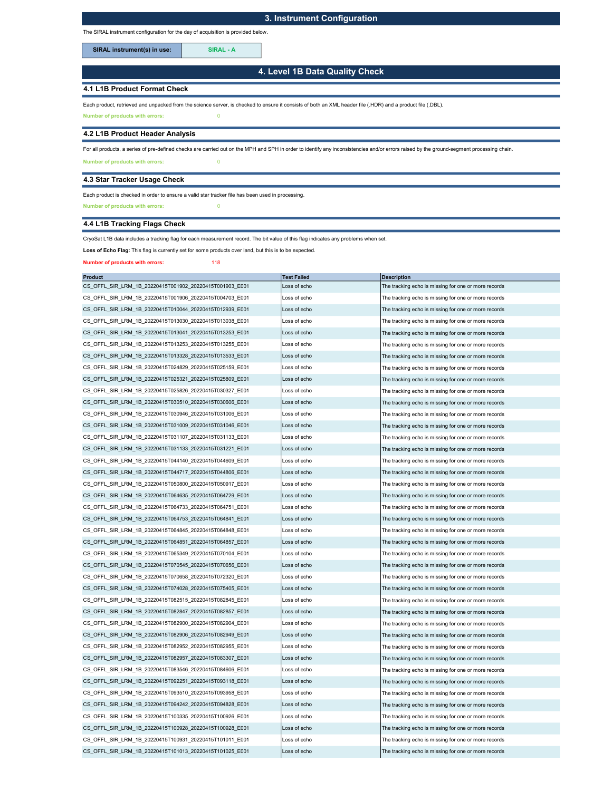## 3. Instrument Configuration

The SIRAL instrument configuration for the day of acquisition is provided below.

SIRAL instrument(s) in use: SIRAL - A

4. Level 1B Data Quality Check

### 4.1 L1B Product Format Check

Each product, retrieved and unpacked from the science server, is checked to ensure it consists of both an XML header file (.HDR) and a product file (.DBL).

Number of products with errors: 0

#### 4.2 L1B Product Header Analysis

For all products, a series of pre-defined checks are carried out on the MPH and SPH in order to identify any inconsistencies and/or errors raised by the ground-segment processing chain.

Number of products with errors: 0

### 4.3 Star Tracker Usage Check

Each product is checked in order to ensure a valid star tracker file has been used in processing.

Number of products with errors: 0

## 4.4 L1B Tracking Flags Check

CryoSat L1B data includes a tracking flag for each measurement record. The bit value of this flag indicates any problems when set.

Loss of Echo Flag: This flag is currently set for some products over land, but this is to be expected.

Number of products with errors: 118

| <b>Product</b>                                          | <b>Test Failed</b> | <b>Description</b>                                   |
|---------------------------------------------------------|--------------------|------------------------------------------------------|
| CS OFFL SIR LRM 1B 20220415T001902 20220415T001903 E001 | Loss of echo       | The tracking echo is missing for one or more records |
| CS OFFL SIR LRM 1B 20220415T001906 20220415T004703 E001 | Loss of echo       | The tracking echo is missing for one or more records |
| CS_OFFL_SIR_LRM_1B_20220415T010044_20220415T012939_E001 | Loss of echo       | The tracking echo is missing for one or more records |
| CS OFFL SIR LRM 1B 20220415T013030 20220415T013038 E001 | Loss of echo       | The tracking echo is missing for one or more records |
| CS_OFFL_SIR_LRM_1B_20220415T013041_20220415T013253_E001 | Loss of echo       | The tracking echo is missing for one or more records |
| CS_OFFL_SIR_LRM_1B_20220415T013253_20220415T013255_E001 | Loss of echo       | The tracking echo is missing for one or more records |
| CS OFFL SIR LRM 1B 20220415T013328 20220415T013533 E001 | Loss of echo       | The tracking echo is missing for one or more records |
| CS_OFFL_SIR_LRM_1B_20220415T024829_20220415T025159_E001 | Loss of echo       | The tracking echo is missing for one or more records |
| CS OFFL SIR LRM 1B 20220415T025321 20220415T025809 E001 | Loss of echo       | The tracking echo is missing for one or more records |
| CS OFFL SIR LRM 1B 20220415T025826 20220415T030327 E001 | Loss of echo       | The tracking echo is missing for one or more records |
| CS OFFL SIR LRM 1B 20220415T030510 20220415T030606 E001 | Loss of echo       | The tracking echo is missing for one or more records |
| CS OFFL SIR LRM 1B 20220415T030946 20220415T031006 E001 | Loss of echo       | The tracking echo is missing for one or more records |
| CS_OFFL_SIR_LRM_1B_20220415T031009_20220415T031046_E001 | Loss of echo       | The tracking echo is missing for one or more records |
| CS_OFFL_SIR_LRM_1B_20220415T031107_20220415T031133_E001 | Loss of echo       | The tracking echo is missing for one or more records |
| CS OFFL SIR LRM 1B 20220415T031133 20220415T031221 E001 | Loss of echo       | The tracking echo is missing for one or more records |
| CS_OFFL_SIR_LRM_1B_20220415T044140_20220415T044609_E001 | Loss of echo       | The tracking echo is missing for one or more records |
| CS OFFL SIR LRM 1B 20220415T044717 20220415T044806 E001 | Loss of echo       | The tracking echo is missing for one or more records |
| CS OFFL SIR LRM 1B 20220415T050800 20220415T050917 E001 | Loss of echo       | The tracking echo is missing for one or more records |
| CS OFFL SIR LRM 1B 20220415T064635 20220415T064729 E001 | Loss of echo       | The tracking echo is missing for one or more records |
| CS OFFL SIR LRM 1B 20220415T064733 20220415T064751 E001 | Loss of echo       | The tracking echo is missing for one or more records |
| CS OFFL SIR LRM 1B 20220415T064753 20220415T064841 E001 | Loss of echo       | The tracking echo is missing for one or more records |
| CS_OFFL_SIR_LRM_1B_20220415T064845_20220415T064848_E001 | Loss of echo       | The tracking echo is missing for one or more records |
| CS OFFL SIR LRM 1B 20220415T064851 20220415T064857 E001 | Loss of echo       | The tracking echo is missing for one or more records |
| CS OFFL SIR LRM 1B 20220415T065349 20220415T070104 E001 | Loss of echo       | The tracking echo is missing for one or more records |
| CS OFFL SIR LRM 1B 20220415T070545 20220415T070656 E001 | Loss of echo       | The tracking echo is missing for one or more records |
| CS OFFL SIR LRM 1B 20220415T070658 20220415T072320 E001 | Loss of echo       | The tracking echo is missing for one or more records |
| CS_OFFL_SIR_LRM_1B_20220415T074028_20220415T075405_E001 | Loss of echo       | The tracking echo is missing for one or more records |
| CS OFFL SIR LRM 1B 20220415T082515 20220415T082845 E001 | Loss of echo       | The tracking echo is missing for one or more records |
| CS OFFL SIR LRM 1B 20220415T082847 20220415T082857 E001 | Loss of echo       | The tracking echo is missing for one or more records |
| CS OFFL SIR LRM 1B 20220415T082900 20220415T082904 E001 | Loss of echo       | The tracking echo is missing for one or more records |
| CS OFFL SIR LRM 1B 20220415T082906 20220415T082949 E001 | Loss of echo       | The tracking echo is missing for one or more records |
| CS OFFL SIR LRM 1B 20220415T082952 20220415T082955 E001 | Loss of echo       | The tracking echo is missing for one or more records |
| CS_OFFL_SIR_LRM_1B_20220415T082957_20220415T083307_E001 | Loss of echo       | The tracking echo is missing for one or more records |
| CS OFFL SIR LRM 1B 20220415T083546 20220415T084606 E001 | Loss of echo       | The tracking echo is missing for one or more records |
| CS OFFL SIR LRM 1B 20220415T092251 20220415T093118 E001 | Loss of echo       | The tracking echo is missing for one or more records |
| CS OFFL SIR LRM 1B 20220415T093510 20220415T093958 E001 | Loss of echo       | The tracking echo is missing for one or more records |
| CS OFFL SIR LRM 1B 20220415T094242 20220415T094828 E001 | Loss of echo       | The tracking echo is missing for one or more records |
| CS_OFFL_SIR_LRM_1B_20220415T100335_20220415T100926_E001 | Loss of echo       | The tracking echo is missing for one or more records |
| CS OFFL SIR LRM 1B 20220415T100928 20220415T100928 E001 | Loss of echo       | The tracking echo is missing for one or more records |
| CS OFFL SIR LRM 1B 20220415T100931 20220415T101011 E001 | Loss of echo       | The tracking echo is missing for one or more records |
| CS OFFL SIR LRM 1B 20220415T101013 20220415T101025 E001 | Loss of echo       | The tracking echo is missing for one or more records |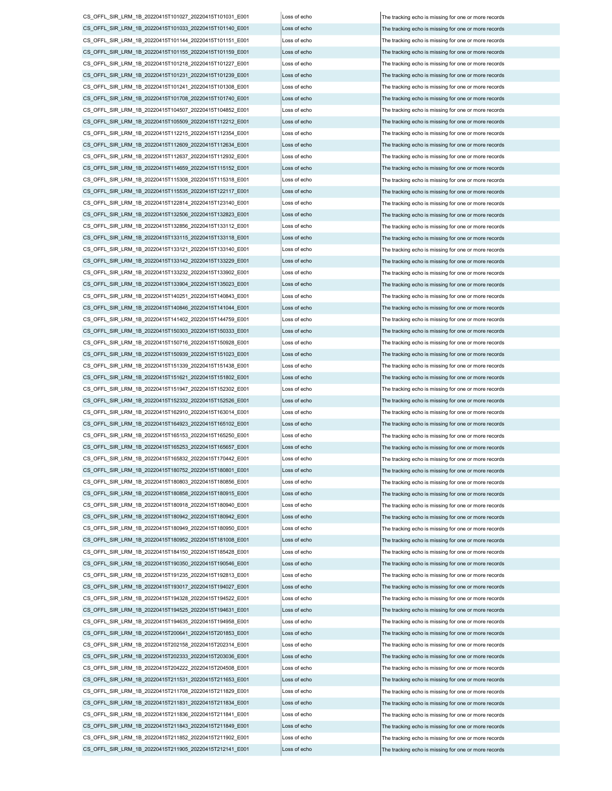CS\_OFFL\_SIR\_LRM\_1B\_20220415T211708\_20220415T211829\_E001 Loss of echo  $\vert$  Loss of echo  $\vert$  The tracking echo is missing for one or more records CS\_OFFL\_SIR\_LRM\_1B\_20220415T211831\_20220415T211834\_E001 Loss of echo The tracking echo is missing for one or more records CS\_OFFL\_SIR\_LRM\_1B\_20220415T211836\_20220415T211841\_E001 Loss of echo The tracking echo is missing for one or more records CS\_OFFL\_SIR\_LRM\_1B\_20220415T211843\_20220415T211849\_E001 Loss of echo The tracking echo is missing for one or more records CS\_OFFL\_SIR\_LRM\_1B\_20220415T211852\_20220415T211902\_E001 Loss of echo The tracking echo is missing for one or more records CS\_OFFL\_SIR\_LRM\_1B\_20220415T211905\_20220415T212141\_E001 Loss of echo CS\_OFFL\_SIR\_LRM\_1B\_20220415T193017\_20220415T194027\_E001 Loss of echo The tracking echo is missing for one or more records CS\_OFFL\_SIR\_LRM\_1B\_20220415T194328\_20220415T194522\_E001 Loss of echo The tracking echo is missing for one or more records CS\_OFFL\_SIR\_LRM\_1B\_20220415T194525\_20220415T194631\_E001 Loss of echo The tracking echo is missing for one or more records CS\_OFFL\_SIR\_LRM\_1B\_20220415T194635\_20220415T194958\_E001 Loss of echo CS\_OFFL\_SIR\_LRM\_1B\_20220415T200641\_20220415T201853\_E001 Loss of echo The tracking echo is missing for one or more records CS\_OFFL\_SIR\_LRM\_1B\_20220415T202158\_20220415T202314\_E001 Loss of echo The tracking echo is missing for one or more records CS\_OFFL\_SIR\_LRM\_1B\_20220415T202333\_20220415T203036\_E001 Loss of echo The tracking echo is missing for one or more records CS\_OFFL\_SIR\_LRM\_1B\_20220415T204222\_20220415T204508\_E001 Loss of echo The tracking echo is missing for one or more records CS\_OFFL\_SIR\_LRM\_1B\_20220415T211531\_20220415T211653\_E001 Loss of echo The tracking echo is missing for one or more records CS\_OFFL\_SIR\_LRM\_1B\_20220415T165832\_20220415T170442\_E001 Loss of echo The tracking echo is missing for one or more records CS\_OFFL\_SIR\_LRM\_1B\_20220415T180752\_20220415T180801\_E001 Loss of echo The tracking echo is missing for one or more records CS\_OFFL\_SIR\_LRM\_1B\_20220415T180803\_20220415T180856\_E001 Loss of echo The tracking echo is missing for one or more records CS\_OFFL\_SIR\_LRM\_1B\_20220415T180858\_20220415T180915\_E001 Loss of echo The tracking echo is missing for one or more records CS\_OFFL\_SIR\_LRM\_1B\_20220415T180918\_20220415T180940\_E001 Loss of echo  $\vert$  Loss of echo  $\vert$  The tracking echo is missing for one or more records CS\_OFFL\_SIR\_LRM\_1B\_20220415T180942\_20220415T180942\_E001 Loss of echo The tracking echo is missing for one or more records CS\_OFFL\_SIR\_LRM\_1B\_20220415T180949\_20220415T180950\_E001 Loss of echo The tracking echo is missing for one or more records CS\_OFFL\_SIR\_LRM\_1B\_20220415T180952\_20220415T181008\_E001 Loss of echo The tracking echo is missing for one or more records CS\_OFFL\_SIR\_LRM\_1B\_20220415T184150\_20220415T185428\_E001 Loss of echo The tracking echo is missing for one or more records CS\_OFFL\_SIR\_LRM\_1B\_20220415T190350\_20220415T190546\_E001 Loss of echo The tracking echo is missing for one or more records CS\_OFFL\_SIR\_LRM\_1B\_20220415T191235\_20220415T192813\_E001 CS\_OFFL\_SIR\_LRM\_1B\_20220415T151947\_20220415T152302\_E001 Loss of echo  $\vert$  The tracking echo is missing for one or more records CS\_OFFL\_SIR\_LRM\_1B\_20220415T152332\_20220415T152526\_E001 Loss of echo The tracking echo is missing for one or more records CS\_OFFL\_SIR\_LRM\_1B\_20220415T162910\_20220415T163014\_E001 Loss of echo  $\vert$ The tracking echo is missing for one or more records CS\_OFFL\_SIR\_LRM\_1B\_20220415T164923\_20220415T165102\_E001 Loss of echo The tracking echo is missing for one or more records CS\_OFFL\_SIR\_LRM\_1B\_20220415T165153\_20220415T165250\_E001 Loss of echo The tracking echo is missing for one or more records CS\_OFFL\_SIR\_LRM\_1B\_20220415T165253\_20220415T165657\_E001 Loss of echo The tracking echo is missing for one or more records CS\_OFFL\_SIR\_LRM\_1B\_20220415T141402\_20220415T144759\_E001 Loss of echo  $\vert$  Loss of echo  $\vert$  The tracking echo is missing for one or more records CS\_OFFL\_SIR\_LRM\_1B\_20220415T150303\_20220415T150333\_E001 Loss of echo The tracking echo is missing for one or more records CS\_OFFL\_SIR\_LRM\_1B\_20220415T150716\_20220415T150928\_E001 Loss of echo The tracking echo is missing for one or more records CS\_OFFL\_SIR\_LRM\_1B\_20220415T150939\_20220415T151023\_E001 Loss of echo The tracking echo is missing for one or more records CS\_OFFL\_SIR\_LRM\_1B\_20220415T151339\_20220415T151438\_E001 Loss of echo The tracking echo is missing for one or more records CS\_OFFL\_SIR\_LRM\_1B\_20220415T151621\_20220415T151802\_E001 Loss of echo The tracking echo is missing for one or more records CS\_OFFL\_SIR\_LRM\_1B\_20220415T133121\_20220415T133140\_E001 Loss of echo The tracking echo is missing for one or more records CS\_OFFL\_SIR\_LRM\_1B\_20220415T133142\_20220415T133229\_E001 Loss of echo The tracking echo is missing for one or more records CS\_OFFL\_SIR\_LRM\_1B\_20220415T133232\_20220415T133902\_E001 Loss of echo The tracking echo is missing for one or more records CS\_OFFL\_SIR\_LRM\_1B\_20220415T133904\_20220415T135023\_E001 Loss of echo The tracking echo is missing for one or more records CS\_OFFL\_SIR\_LRM\_1B\_20220415T140251\_20220415T140843\_E001 Loss of echo The tracking echo is missing for one or more records CS\_OFFL\_SIR\_LRM\_1B\_20220415T140846\_20220415T141044\_E001 Loss of echo The tracking echo is missing for one or more records CS\_OFFL\_SIR\_LRM\_1B\_20220415T115308\_20220415T115318\_E001 Loss of echo The tracking echo is missing for one or more records CS\_OFFL\_SIR\_LRM\_1B\_20220415T115535\_20220415T122117\_E001 Loss of echo The tracking echo is missing for one or more records CS\_OFFL\_SIR\_LRM\_1B\_20220415T122814\_20220415T123140\_E001 Loss of echo The tracking echo is missing for one or more records CS\_OFFL\_SIR\_LRM\_1B\_20220415T132506\_20220415T132823\_E001 Loss of echo The tracking echo is missing for one or more records CS\_OFFL\_SIR\_LRM\_1B\_20220415T132856\_20220415T133112\_E001 Loss of echo The tracking echo is missing for one or more records CS\_OFFL\_SIR\_LRM\_1B\_20220415T133115\_20220415T133118\_E001 Loss of echo The tracking echo is missing for one or more records CS\_OFFL\_SIR\_LRM\_1B\_20220415T104507\_20220415T104852\_E001 Loss of echo The tracking echo is missing for one or more records CS\_OFFL\_SIR\_LRM\_1B\_20220415T105509\_20220415T112212\_E001 Loss of echo The tracking echo is missing for one or more records CS\_OFFL\_SIR\_LRM\_1B\_20220415T112215\_20220415T112354\_E001 Loss of echo The tracking echo is missing for one or more records CS\_OFFL\_SIR\_LRM\_1B\_20220415T112609\_20220415T112634\_E001 Loss of echo The tracking echo is missing for one or more records CS\_OFFL\_SIR\_LRM\_1B\_20220415T112637\_20220415T112932\_E001 Loss of echo The tracking echo is missing for one or more records CS\_OFFL\_SIR\_LRM\_1B\_20220415T114659\_20220415T115152\_E001 Loss of echo The tracking echo is missing for one or more records CS\_OFFL\_SIR\_LRM\_1B\_20220415T101144\_20220415T101151\_E001 Loss of echo The tracking echo is missing for one or more records CS\_OFFL\_SIR\_LRM\_1B\_20220415T101155\_20220415T101159\_E001 Loss of echo The tracking echo is missing for one or more records CS\_OFFL\_SIR\_LRM\_1B\_20220415T101218\_20220415T101227\_E001 Loss of echo The tracking echo is missing for one or more records CS\_OFFL\_SIR\_LRM\_1B\_20220415T101231\_20220415T101239\_E001 Loss of echo The tracking echo is missing for one or more records CS\_OFFL\_SIR\_LRM\_1B\_20220415T101241\_20220415T101308\_E001 Loss of echo The tracking echo is missing for one or more records CS\_OFFL\_SIR\_LRM\_1B\_20220415T101708\_20220415T101740\_E001 Loss of echo The tracking echo is missing for one or more records CS\_OFFL\_SIR\_LRM\_1B\_20220415T101027\_20220415T101031\_E001 Loss of echo The tracking echo is missing for one or more records CS\_OFFL\_SIR\_LRM\_1B\_20220415T101033\_20220415T101140\_E001 Loss of echo The tracking echo is missing for one or more records

oss of echo **The tracking echo is missing for one or more records** The tracking echo is missing for one or more records The tracking echo is missing for one or more records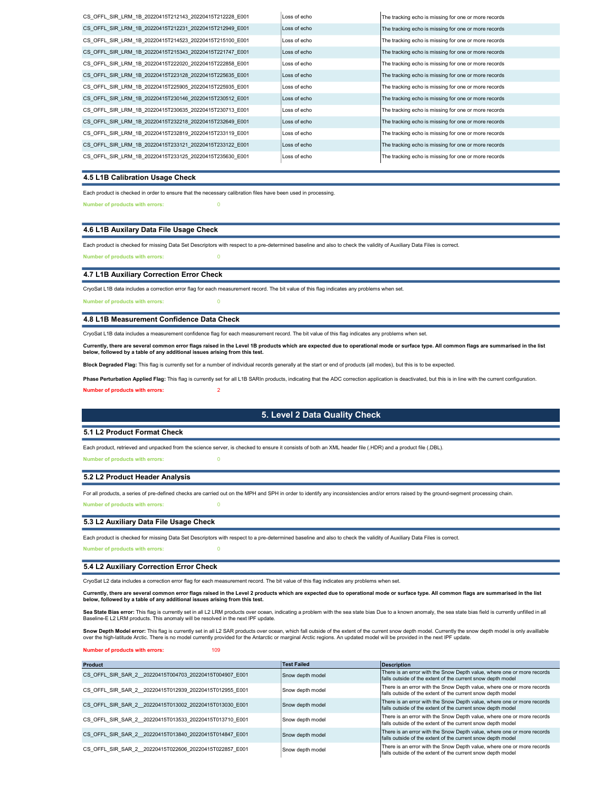| CS OFFL SIR LRM 1B 20220415T212143 20220415T212228 E001 | Loss of echo | The tracking echo is missing for one or more records |
|---------------------------------------------------------|--------------|------------------------------------------------------|
| CS OFFL SIR LRM 1B 20220415T212231 20220415T212949 E001 | Loss of echo | The tracking echo is missing for one or more records |
| CS OFFL SIR LRM 1B 20220415T214523 20220415T215100 E001 | Loss of echo | The tracking echo is missing for one or more records |
| CS OFFL SIR LRM 1B 20220415T215343 20220415T221747 E001 | Loss of echo | The tracking echo is missing for one or more records |
| CS OFFL SIR LRM 1B 20220415T222020 20220415T222858 E001 | Loss of echo | The tracking echo is missing for one or more records |
| CS OFFL SIR LRM 1B 20220415T223128 20220415T225635 E001 | Loss of echo | The tracking echo is missing for one or more records |
| CS OFFL SIR LRM 1B 20220415T225905 20220415T225935 E001 | Loss of echo | The tracking echo is missing for one or more records |
| CS OFFL SIR LRM 1B 20220415T230146 20220415T230512 E001 | Loss of echo | The tracking echo is missing for one or more records |
| CS OFFL SIR LRM 1B 20220415T230635 20220415T230713 E001 | Loss of echo | The tracking echo is missing for one or more records |
| CS OFFL SIR LRM 1B 20220415T232218 20220415T232649 E001 | Loss of echo | The tracking echo is missing for one or more records |
| CS OFFL SIR LRM 1B 20220415T232819 20220415T233119 E001 | Loss of echo | The tracking echo is missing for one or more records |
| CS OFFL SIR LRM 1B 20220415T233121 20220415T233122 E001 | Loss of echo | The tracking echo is missing for one or more records |
| CS OFFL SIR LRM 1B 20220415T233125 20220415T235630 E001 | Loss of echo | The tracking echo is missing for one or more records |

#### 4.5 L1B Calibration Usage Check

Each product is checked in order to ensure that the necessary calibration files have been used in processing.

Number of products with errors: 0

### 4.6 L1B Auxilary Data File Usage Check

Each product is checked for missing Data Set Descriptors with respect to a pre-determined baseline and also to check the validity of Auxiliary Data Files is correct. Number of products with errors: 0

#### 4.7 L1B Auxiliary Correction Error Check

CryoSat L1B data includes a correction error flag for each measurement record. The bit value of this flag indicates any problems when set.

Number of products with errors: 0

#### 4.8 L1B Measurement Confidence Data Check

CryoSat L1B data includes a measurement confidence flag for each measurement record. The bit value of this flag indicates any problems when set.

Currently, there are several common error flags raised in the Level 1B products which are expected due to operational mode or surface type. All common flags are summarised in the list below, followed by a table of any additional issues arising from this test.

Block Degraded Flag: This flag is currently set for a number of individual records generally at the start or end of products (all modes), but this is to be expected

Phase Perturbation Applied Flag: This flag is currently set for all L1B SARIn products, indicating that the ADC correction application is deactivated, but this is in line with the current configuration.

ber of products with errors:

### 5. Level 2 Data Quality Check

#### 5.1 L2 Product Format Check

Each product, retrieved and unpacked from the science server, is checked to ensure it consists of both an XML header file (.HDR) and a product file (.DBL).

### Number of products with errors: 0

#### 5.2 L2 Product Header Analysis

Number of products with errors: For all products, a series of pre-defined checks are carried out on the MPH and SPH in order to identify any inconsistencies and/or errors raised by the ground-segment processing chain.

#### 5.3 L2 Auxiliary Data File Usage Check

Each product is checked for missing Data Set Descriptors with respect to a pre-determined baseline and also to check the validity of Auxiliary Data Files is correct.

Number of products with errors: 0

#### 5.4 L2 Auxiliary Correction Error Check

CryoSat L2 data includes a correction error flag for each measurement record. The bit value of this flag indicates any problems when set.

Currently, there are several common error flags raised in the Level 2 products which are expected due to operational mode or surface type. All common flags are summarised in the list below, followed by a table of any additional issues arising from this test.

**Sea State Bias error:** This flag is currently set in all L2 LRM products over ocean, indicating a problem with the sea state bias Due to a known anomaly, the sea state bias field is currently unfilled in all<br>Baseline-E L2

Snow Depth Model error: This flag is currently set in all L2 SAR products over ocean, which fall outside of the extent of the current snow depth model. Currently the snow depth model is only availlable over the high-latitude Arctic. There is no model currently provided for the Antarctic or marginal Arctic regions. An updated model will be provided in the next IPF update.

Number of products with errors: 109

| Product                                                | Test Failed      | Description                                                                                                                           |
|--------------------------------------------------------|------------------|---------------------------------------------------------------------------------------------------------------------------------------|
| CS OFFL SIR SAR 2 20220415T004703 20220415T004907 E001 | Snow depth model | There is an error with the Snow Depth value, where one or more records<br>falls outside of the extent of the current snow depth model |
| CS OFFL SIR SAR 2 20220415T012939 20220415T012955 E001 | Snow depth model | There is an error with the Snow Depth value, where one or more records<br>falls outside of the extent of the current snow depth model |
| CS OFFL SIR SAR 2 20220415T013002 20220415T013030 E001 | Snow depth model | There is an error with the Snow Depth value, where one or more records<br>falls outside of the extent of the current snow depth model |
| CS OFFL SIR SAR 2 20220415T013533 20220415T013710 E001 | Snow depth model | There is an error with the Snow Depth value, where one or more records<br>falls outside of the extent of the current snow depth model |
| CS OFFL SIR SAR 2 20220415T013840 20220415T014847 E001 | Snow depth model | There is an error with the Snow Depth value, where one or more records<br>falls outside of the extent of the current snow depth model |
| CS OFFL SIR SAR 2 20220415T022606 20220415T022857 E001 | Snow depth model | There is an error with the Snow Depth value, where one or more records<br>falls outside of the extent of the current snow depth model |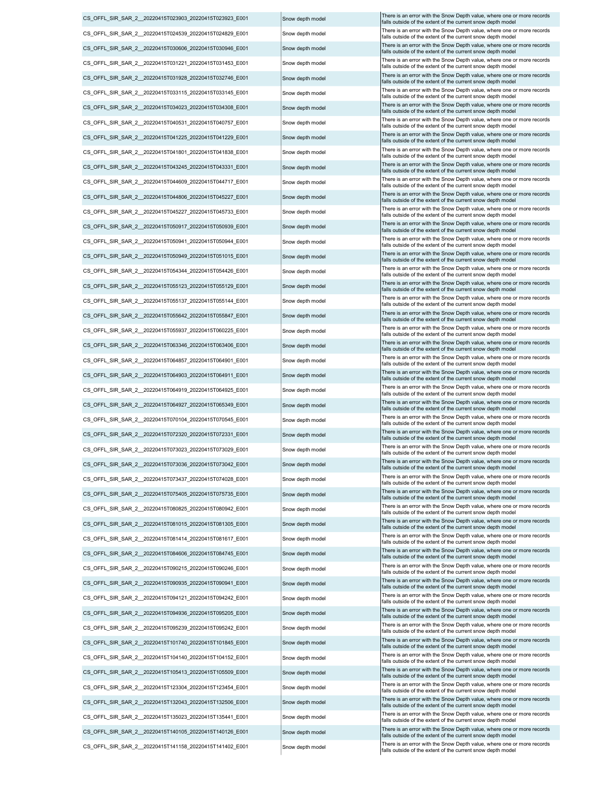CS\_OFFL\_SIR\_SAR\_2\_\_20220415T023903\_20220415T023923\_E001 CS\_OFFL\_SIR\_SAR\_2\_\_20220415T024539\_20220415T024829\_E001 CS\_OFFL\_SIR\_SAR\_2\_\_20220415T031221\_20220415T031453\_E001 CS\_OFFL\_SIR\_SAR\_2\_\_20220415T045227\_20220415T045733\_E001 CS\_OFFL\_SIR\_SAR\_2\_\_20220415T055642\_20220415T055847\_E001 CS\_OFFL\_SIR\_SAR\_2\_\_20220415T055937\_20220415T060225\_E001 CS\_OFFL\_SIR\_SAR\_2\_\_20220415T063346\_20220415T063406\_E001 CS\_OFFL\_SIR\_SAR\_2\_\_20220415T064857\_20220415T064901\_E001 CS\_OFFL\_SIR\_SAR\_2\_\_20220415T041801\_20220415T041838\_E001 CS\_OFFL\_SIR\_SAR\_2\_\_20220415T050949\_20220415T051015\_E001 CS\_OFFL\_SIR\_SAR\_2\_\_20220415T054344\_20220415T054426\_E001 CS\_OFFL\_SIR\_SAR\_2\_\_20220415T055123\_20220415T055129\_E001 CS\_OFFL\_SIR\_SAR\_2\_\_20220415T030606\_20220415T030946\_E001 CS\_OFFL\_SIR\_SAR\_2\_\_20220415T031928\_20220415T032746\_E001 CS\_OFFL\_SIR\_SAR\_2\_\_20220415T033115\_20220415T033145\_E001 CS\_OFFL\_SIR\_SAR\_2\_\_20220415T034023\_20220415T034308\_E001 CS\_OFFL\_SIR\_SAR\_2\_\_20220415T040531\_20220415T040757\_E001 CS\_OFFL\_SIR\_SAR\_2\_\_20220415T041225\_20220415T041229\_E001 CS\_OFFL\_SIR\_SAR\_2\_\_20220415T055137\_20220415T055144\_E001 CS\_OFFL\_SIR\_SAR\_2\_\_20220415T043245\_20220415T043331\_E001 CS\_OFFL\_SIR\_SAR\_2\_\_20220415T044609\_20220415T044717\_E001 CS\_OFFL\_SIR\_SAR\_2\_\_20220415T044806\_20220415T045227\_E001 CS\_OFFL\_SIR\_SAR\_2\_\_20220415T050917\_20220415T050939\_E001 CS\_OFFL\_SIR\_SAR\_2\_\_20220415T050941\_20220415T050944\_E001 CS\_OFFL\_SIR\_SAR\_2\_\_20220415T064903\_20220415T064911\_E001 Snow depth model There is an error with the Snow Depth value, where one or more records CS\_OFFL\_SIR\_SAR\_2\_\_20220415T064919\_20220415T064925\_E001 Snow depth model There is an error with the Snow Depth value, where one or more records CS\_OFFL\_SIR\_SAR\_2\_20220415T064927\_20220415T065349\_E001 Snow depth model There is an error with the Snow Depth value, where one or more records CS\_OFFL\_SIR\_SAR\_2\_20220415T070104\_20220415T070545\_E001 Snow depth model There is an error with the Snow Depth value, where one or more records CS\_OFFL\_SIR\_SAR\_2\_\_20220415T072320\_20220415T072331\_E001 Snow depth model CS\_OFFL\_SIR\_SAR\_2\_\_20220415T073023\_20220415T073029\_E001 Snow depth model There is an error with the Snow Depth value, where one or more records CS\_OFFL\_SIR\_SAR\_2\_\_20220415T073036\_20220415T073042\_E001 Snow depth model There is an error with the Snow Depth value, where one or more records CS\_OFFL\_SIR\_SAR\_2\_\_20220415T073437\_20220415T074028\_E001 Snow depth model There is an error with the Snow Depth value, where one or more records Snow Depth value, where one or more records Snow depth model CS\_OFFL\_SIR\_SAR\_2\_\_20220415T075405\_20220415T075735\_E001 Snow depth model There is an error with the Snow Depth value, where one or more records CS\_OFFL\_SIR\_SAR\_2\_20220415T080825\_20220415T080942\_E001 Snow depth model There is an error with the Snow Depth value, where one or more CS\_OFFL\_SIR\_SAR\_2\_\_20220415T081015\_20220415T081305\_E001 Snow depth model There is an error with the Snow Depth value, where one or more records CS\_OFFL\_SIR\_SAR\_2\_20220415T081414\_20220415T081617\_E001 Snow depth model There is an error with the Snow Depth value, where one or more records CS\_OFFL\_SIR\_SAR\_2\_\_20220415T084606\_20220415T084745\_E001 Snow depth model There is an error with the Snow Depth value, where one or more records CS\_OFFL\_SIR\_SAR\_2\_\_20220415T090215\_20220415T090246\_E001 Snow depth model There is an error with the Snow Depth value, where one or more records Snow Depth value, where one or more records Snow depth model CS\_OFFL\_SIR\_SAR\_2\_\_20220415T090935\_20220415T090941\_E001 Snow depth model There is an error with the Snow Depth value, where one or more records CS\_OFFL\_SIR\_SAR\_2\_\_20220415T094121\_20220415T094242\_E001 Snow depth model There is an error with the Snow Depth value, where one or more records CS\_OFFL\_SIR\_SAR\_2\_20220415T094936\_20220415T095205\_E001 Snow depth model There is an error with the Snow Depth value, where one or more records CS\_OFFL\_SIR\_SAR\_2\_\_20220415T095239\_20220415T095242\_E001 Snow depth model There is an error with the Snow Depth value, where one or more records CS\_OFFL\_SIR\_SAR\_2\_\_20220415T101740\_20220415T101845\_E001 Snow depth model There is an error with the Snow Depth value, where one or more records street of the current snow depth model CS\_OFFL\_SIR\_SAR\_2\_20220415T104140\_20220415T1041452\_E001 Snow depth model There is an error with the Snow Depth value, where one or more records CS\_OFFL\_SIR\_SAR\_2\_\_20220415T105413\_20220415T105509\_E001 Snow depth model CS\_OFFL\_SIR\_SAR\_2\_20220415T123304\_20220415T123454\_E001 Snow depth model There is an error with the Snow Depth value, where one or more records CS\_OFFL\_SIR\_SAR\_2\_20220415T132043\_20220415T132606\_E001 Snow depth model There is an error with the Snow Depth value, where one or more records CS\_OFFL\_SIR\_SAR\_2\_\_20220415T135023\_20220415T135441\_E001 Snow depth model There is an error with the Snow Depth value, where one or more records Snow Depth value, where one or more records Snow depth model CS\_OFFL\_SIR\_SAR\_2\_\_20220415T140105\_20220415T140126\_E001 Snow depth model There is an error with the Snow Depth value, where one or more records CS\_OFFL\_SIR\_SAR\_2\_20220415T141158\_20220415T141402\_E001 Snow depth model There is an error with the Snow Depth value, where one or more records

Snow depth model now depth model Snow depth model Snow depth model Snow depth model Snow depth model Snow depth model Snow depth model Snow depth model Snow depth model Snow depth model Snow depth model Snow depth model Snow depth model Snow depth model Snow depth model Snow depth model Snow depth model Snow depth model Snow depth model Snow depth model Snow depth model Snow depth model Snow depth model There is an error with the Snow Depth value, where one or more records falls outside of the extent of the current snow depth mode There is an error with the Snow Depth value, where one or more records falls outside of the extent of the current snow depth model There is an error with the Snow Depth value, where one or more falls outside of the extent of the current snow depth mod There is an error with the Snow Depth value, where one or more records falls outside of the extent of the current snow depth model There is an error with the Snow Depth value, where one or more records falls outside of the extent of the current snow depth model There is an error with the Snow Depth value, where one or more records falls outside of the extent of the current snow depth model There is an error with the Snow Depth value, where one or more records falls outside of the extent of the current snow depth mode There is an error with the Snow Depth value, where one or more records falls outside of the extent of the current snow depth model There is an error with the Snow Depth value, where one or more records falls outside of the extent of the current snow depth mod There is an error with the Snow Depth value, where one or more records falls outside of the extent of the current snow depth mode There is an error with the Snow Depth value, where one or more records falls outside of the extent of the current snow depth model There is an error with the Snow Depth value, where one or more records falls outside of the extent of the current snow depth mod There is an error with the Snow Depth value, where one or more records falls outside of the extent of the current snow depth mode There is an error with the Snow Depth value, where one or more records falls outside of the extent of the current snow depth model There is an error with the Snow Depth value, where one or more records falls outside of the extent of the current snow depth model There is an error with the Snow Depth value, where one or more records falls outside of the extent of the current snow depth mode There is an error with the Snow Depth value, where one or more records falls outside of the extent of the current snow depth model There is an error with the Snow Depth value, where one or more records falls outside of the extent of the current snow depth mode There is an error with the Snow Depth value, where one or more records falls outside of the extent of the current snow depth model There is an error with the Snow Depth value, where one or more records falls outside of the extent of the current snow depth model There is an error with the Snow Depth value, where one or more records falls outside of the extent of the current snow depth model There is an error with the Snow Depth value, where one or more records falls outside of the extent of the current snow depth mode There is an error with the Snow Depth value, where one or more records falls outside of the extent of the current snow depth model There is an error with the Snow Depth value, where one or more records falls outside of the extent of the current snow depth model falls outside of the extent of the current snow depth model falls outside of the extent of the current snow depth mode falls outside of the extent of the current snow depth mode falls outside of the extent of the current snow depth model<br>There is an error with the Snow Depth value, where one or more records falls outside of the extent of the current snow depth model falls outside of the extent of the current snow depth mode falls outside of the extent of the current snow depth model falls outside of the extent of the current snow depth model falls outside of the extent of the current snow depth mode falls outside of the extent of the current snow depth mode falls outside of the extent of the current snow depth model falls outside of the extent of the current snow depth mode falls outside of the extent of the current snow depth model falls outside of the extent of the current snow depth mode falls outside of the extent of the current snow depth mode falls outside of the extent of the current snow depth mode falls outside of the extent of the current snow depth model<br>There is an error with the Snow Depth value, where one or more records falls outside of the extent of the current snow depth model falls outside of the extent of the current snow depth model falls outside of the extent of the current snow depth model falls outside of the extent of the current snow depth model falls outside of the extent of the current snow depth model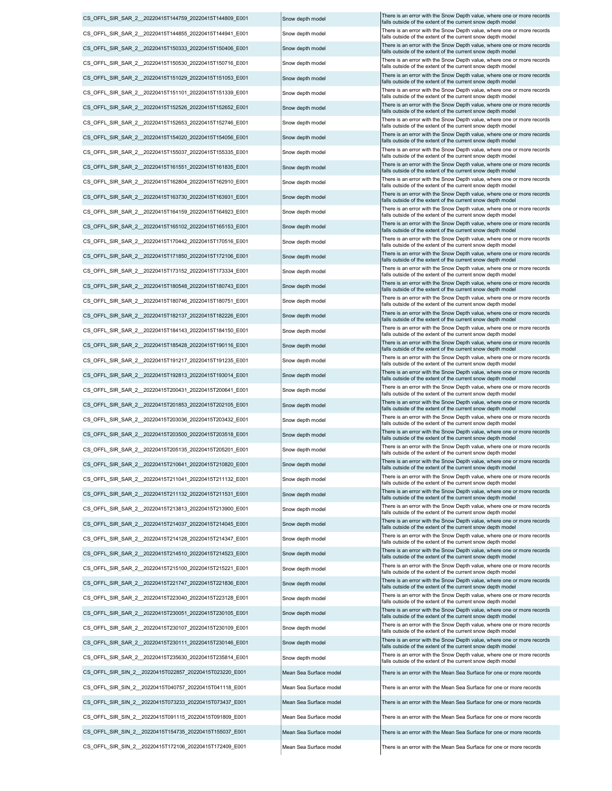CS\_OFFL\_SIR\_SIN\_2 \_ 20220415T040757\_20220415T041118\_E001 Mean Sea Surface model There is an error with the Mean Sea Surface for one or more records CS\_OFFL\_SIR\_SIN\_2\_\_20220415T091115\_20220415T091809\_E001 Mean Sea Surface model There is an error with the Mean Sea Surface for one or more records CS\_OFFL\_SIR\_SIN\_2\_\_20220415T154735\_20220415T155037\_E001 Mean Sea Surface model There is an error with the Mean Sea Surface for one or more records CS\_OFFL\_SIR\_SIN\_2 \_20220415T172106\_20220415T172409\_E001 Mean Sea Surface model There is an error with the Mean Sea Surface for one or more records CS\_OFFL\_SIR\_SIN\_2\_20220415T073233\_20220415T073437\_E001 Mean Sea Surface model There is an error with the Mean Sea Surface for one or more records CS\_OFFL\_SIR\_SAR\_2\_\_20220415T223040\_20220415T223128\_E001 Snow depth model There is an error with the Snow Depth value, where one or more records CS\_OFFL\_SIR\_SIN\_2\_\_20220415T022857\_20220415T023220\_E001 Mean Sea Surface model There is an error with the Mean Sea Surface for one or more records CS\_OFFL\_SIR\_SAR\_2\_\_20220415T230051\_20220415T230105\_E001 Snow depth model There is an error with the Snow Depth value, where one or more records CS\_OFFL\_SIR\_SAR\_2\_\_20220415T230107\_20220415T230109\_E001 Snow depth model There is an error with the Snow Depth value, where one or more records CS\_OFFL\_SIR\_SAR\_2\_\_20220415T230111\_20220415T230146\_E001 Snow depth model There is an error with the Snow Depth value, where one or more records CS\_OFFL\_SIR\_SAR\_2\_\_20220415T235630\_20220415T235814\_E001 Snow depth model CS\_OFFL\_SIR\_SAR\_2\_20220415T213813\_20220415T213900\_E001 Snow depth model There is an error with the Snow Depth value, where one or more records CS\_OFFL\_SIR\_SAR\_2\_20220415T214128\_20220415T214347\_E001 Snow depth model There is an error with the Snow Depth value, where one or more records CS\_OFFL\_SIR\_SAR\_2\_\_20220415T214510\_20220415T214523\_E001 Snow depth model There is an error with the Snow Depth value, where one or more records CS\_OFFL\_SIR\_SAR\_2\_\_20220415T215100\_20220415T215221\_E001 Snow depth model There is an error with the Snow Depth value, where one or more records Snow Depth value, where one or more records Snow depth model CS\_OFFL\_SIR\_SAR\_2\_\_20220415T221747\_20220415T221836\_E001 Snow depth model There is an error with the Snow Depth value, where one or more records CS\_OFFL\_SIR\_SAR\_2\_\_20220415T214037\_20220415T214037\_20220415T214045\_E001 Snow depth model There is an error with the Snow Depth value, where one or more records CS\_OFFL\_SIR\_SAR\_2\_20220415T203036\_20220415T203432\_E001 Snow depth model There is an error with the Snow Depth value, where one or more records CS\_OFFL\_SIR\_SAR\_2\_\_20220415T211132\_20220415T211531\_E001 Snow depth model There is an error with the Snow Depth value, where one or more records CS\_OFFL\_SIR\_SAR\_2\_\_20220415T203500\_20220415T203518\_E001 |Snow depth model CS\_OFFL\_SIR\_SAR\_2\_\_20220415T205135\_20220415T205201\_E001 Snow depth model There is an error with the Snow Depth value, where one or more records CS\_OFFL\_SIR\_SAR\_2\_\_20220415T210641\_20220415T210820\_E001 Snow depth model There is an error with the Snow Depth value, where one or more records CS\_OFFL\_SIR\_SAR\_2\_\_20220415T211041\_20220415T211132\_E001 Snow depth model CS\_OFFL\_SIR\_SAR\_2\_20220415T184143\_20220415T184150\_E001 Snow depth model There is an error with the Snow Depth value, where one or more records CS\_OFFL\_SIR\_SAR\_2\_\_20220415T191217\_20220415T191235\_E001 Snow depth model There is an error with the Snow Depth value, where one or more records CS\_OFFL\_SIR\_SAR\_2\_\_20220415T192813\_20220415T193014\_E001 Snow depth model There is an error with the Snow Depth value, where one or more records CS\_OFFL\_SIR\_SAR\_2\_\_20220415T200431\_20220415T200641\_E001 Snow depth model There is an error with the Snow Depth value, where one or more records CS\_OFFL\_SIR\_SAR\_2\_\_20220415T201853\_20220415T202105\_E001 Snow depth model There is an error with the Snow Depth value, where one or more records CS\_OFFL\_SIR\_SAR\_2\_\_20220415T185428\_20220415T190116\_E001 Snow depth model There is an error with the Snow Depth value, where one or more records CS\_OFFL\_SIR\_SAR\_2\_\_20220415T162804\_20220415T162910\_E001 Snow depth model There is an error with the Snow Depth value, where one or more records CS\_OFFL\_SIR\_SAR\_2\_\_20220415T163730\_20220415T163931\_E001 Snow depth model There is an error with the Snow Depth value, where one or more records CS\_OFFL\_SIR\_SAR\_2\_20220415T164159\_20220415T164923\_E001 Snow depth model There is an error with the Snow Depth value, where one or more records CS\_OFFL\_SIR\_SAR\_2\_20220415T165102\_20220415T165153\_E001 Snow depth model There is an error with the Snow Depth value, where one or more records CS\_OFFL\_SIR\_SAR\_2\_20220415T170442\_20220415T170516\_E001 Snow depth model There is an error with the Snow Depth value, where one or more records CS\_OFFL\_SIR\_SAR\_2\_\_20220415T182137\_20220415T182226\_E001 Snow depth model There is an error with the Snow Depth value, where one or more records CS\_OFFL\_SIR\_SAR\_2\_\_20220415T171850\_20220415T172106\_E001 Snow depth model There is an error with the Snow Depth value, where one or more records CS\_OFFL\_SIR\_SAR\_2\_\_20220415T173152\_20220415T173334\_E001 Snow depth model There is an error with the Snow Depth value, where one or more records CS\_OFFL\_SIR\_SAR\_2\_20220415T180548\_20220415T180743\_E001 Snow depth model There is an error with the Snow Depth value, where one or more records CS\_OFFL\_SIR\_SAR\_2\_\_20220415T180746\_20220415T180751\_E001 Snow depth model CS\_OFFL\_SIR\_SAR\_2\_\_20220415T151029\_20220415T151053\_E001 Snow depth model There is an error with the Snow Depth value, where one or more records CS\_OFFL\_SIR\_SAR\_2\_20220415T151101\_20220415T151339\_E001 Snow depth model There is an error with the Snow Depth value, where one or more records CS\_OFFL\_SIR\_SAR\_2\_\_20220415T152526\_20220415T152652\_E001 Snow depth model There is an error with the Snow Depth value, where one or more records CS\_OFFL\_SIR\_SAR\_2\_20220415T152653\_20220415T152746\_E001 Snow depth model There is an error with the Snow Depth value, where one or more records CS\_OFFL\_SIR\_SAR\_2\_\_20220415T154020\_20220415T154056\_E001 Snow depth model There is an error with the Snow Depth value, where one or more records CS\_OFFL\_SIR\_SAR\_2\_\_20220415T155037\_20220415T155335\_E001 Snow depth model There is an error with the Snow Depth value, where one or more records CS\_OFFL\_SIR\_SAR\_2\_\_20220415T161551\_20220415T161835\_E001 Snow depth model There is an error with the Snow Depth value, where one or more records CS\_OFFL\_SIR\_SAR\_2\_\_20220415T144855\_20220415T144941\_E001 Snow depth model There is an error with the Snow Depth value, where one or more records CS\_OFFL\_SIR\_SAR\_2\_\_20220415T150333\_20220415T150406\_E001 Snow depth model There is an error with the Snow Depth value, where one or more records CS\_OFFL\_SIR\_SAR\_2\_20220415T150530\_20220415T150716\_E001 Snow depth model There is an error with the Snow Depth value, where one or more records

falls outside of the extent of the current snow depth mode There is an error with the Snow Depth value, where one or more records falls outside of the extent of the current snow depth model falls outside of the extent of the current snow depth mode falls outside of the extent of the current snow depth mode falls outside of the extent of the current snow depth mode falls outside of the extent of the current snow depth model falls outside of the extent of the current snow depth model falls outside of the extent of the current snow depth mode falls outside of the extent of the current snow depth model falls outside of the extent of the current snow depth mode falls outside of the extent of the current snow depth model<br>There is an error with the Snow Depth value, where one or more records There is an error with the Snow Depth value, where one or more records falls outside of the extent of the current snow depth model falls outside of the extent of the current snow depth model falls outside of the extent of the current snow depth model falls outside of the extent of the current snow depth mode falls outside of the extent of the current snow depth model falls outside of the extent of the current snow depth model falls outside of the extent of the current snow depth model falls outside of the extent of the current snow depth model falls outside of the extent of the current snow depth model falls outside of the extent of the current snow depth mode falls outside of the extent of the current snow depth mode falls outside of the extent of the current snow depth mode falls outside of the extent of the current snow depth mod falls outside of the extent of the current snow depth model falls outside of the extent of the current snow depth model falls outside of the extent of the current snow depth mode There is an error with the Snow Depth value, where one or more records falls outside of the extent of the current snow depth model falls outside of the extent of the current snow depth model falls outside of the extent of the current snow depth model falls outside of the extent of the current snow depth mode falls outside of the extent of the current snow depth mode falls outside of the extent of the current snow depth model falls outside of the extent of the current snow depth mode falls outside of the extent of the current snow depth mod falls outside of the extent of the current snow depth mode falls outside of the extent of the current snow depth model falls outside of the extent of the current snow depth model falls outside of the extent of the current snow depth mode CS\_OFFL\_SIR\_SAR\_2\_\_20220415T144759\_20220415T144809\_E001 Snow depth model There is an error with the Snow Depth value, where one or more records falls outside of the extent of the current snow depth mode falls outside of the extent of the current snow depth model falls outside of the extent of the current snow depth model falls outside of the extent of the current snow depth model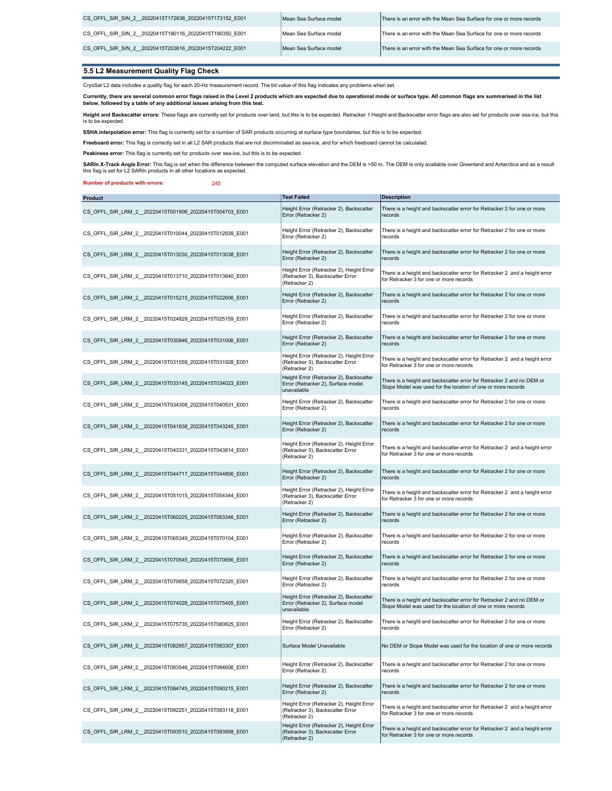| CS OFFL SIR SIN 2 20220415T172638 20220415T173152 E001 | Mean Sea Surface model | There is an error with the Mean Sea Surface for one or more records |
|--------------------------------------------------------|------------------------|---------------------------------------------------------------------|
| CS OFFL SIR SIN 2 20220415T190116 20220415T190350 E001 | Mean Sea Surface model | There is an error with the Mean Sea Surface for one or more records |
| CS OFFL SIR SIN 2 20220415T203616 20220415T204222 E001 | Mean Sea Surface model | There is an error with the Mean Sea Surface for one or more records |

### 5.5 L2 Measurement Quality Flag Check

CryoSat L2 data includes a quality flag for each 20-Hz measurement record. The bit value of this flag indicates any problems when set.

Currently, there are several common error flags raised in the Level 2 products which are expected due to operational mode or surface type. All common flags are summarised in the list<br>below, followed by a table of any addit

**Height and Backscatter errors:** These flags are currently set for products over land, but this is to be expected. Retracker 1 Height and Backscatter error flags are also set for products over sea-ice, but this<br>is to be ex

SSHA interpolation error: This flag is currently set for a number of SAR products occurring at surface type boundaries, but this is to be expected.

Freeboard error: This flag is correctly set in all L2 SAR products that are not discriminated as sea-ice, and for which freeboard cannot be calculated.

Peakiness error: This flag is currently set for products over sea-ice, but this is to be expected.

**SARIn X-Track Angle Error**: This flag is set when the difference between the computed surface elevation and the DEM is >50 m. The DEM is only available over Greenland and Antarctica and as a result<br>this flag is set for L2

#### Number of products with errors: 245

| <b>Product</b>                                          | <b>Test Failed</b>                                                                            | <b>Description</b>                                                                                                                    |
|---------------------------------------------------------|-----------------------------------------------------------------------------------------------|---------------------------------------------------------------------------------------------------------------------------------------|
| CS OFFL SIR LRM 2 20220415T001906 20220415T004703 E001  | Height Error (Retracker 2), Backscatter<br>Error (Retracker 2)                                | There is a height and backscatter error for Retracker 2 for one or more<br>records                                                    |
| CS OFFL SIR LRM 2 20220415T010044 20220415T012939 E001  | Height Error (Retracker 2), Backscatter<br>Error (Retracker 2)                                | There is a height and backscatter error for Retracker 2 for one or more<br>records                                                    |
| CS OFFL SIR LRM 2 20220415T013030 20220415T013038 E001  | Height Error (Retracker 2), Backscatter<br>Error (Retracker 2)                                | There is a height and backscatter error for Retracker 2 for one or more<br>records                                                    |
| CS OFFL SIR LRM 2 20220415T013710 20220415T013840 E001  | Height Error (Retracker 2), Height Error<br>(Retracker 3), Backscatter Error<br>(Retracker 2) | There is a height and backscatter error for Retracker 2 and a height error<br>for Retracker 3 for one or more records                 |
| CS OFFL SIR LRM 2 20220415T015215 20220415T022606 E001  | Height Error (Retracker 2), Backscatter<br>Error (Retracker 2)                                | There is a height and backscatter error for Retracker 2 for one or more<br>records                                                    |
| CS OFFL SIR LRM 2 20220415T024829 20220415T025159 E001  | Height Error (Retracker 2), Backscatter<br>Error (Retracker 2)                                | There is a height and backscatter error for Retracker 2 for one or more<br>records                                                    |
| CS OFFL SIR LRM 2 20220415T030946 20220415T031006 E001  | Height Error (Retracker 2), Backscatter<br>Error (Retracker 2)                                | There is a height and backscatter error for Retracker 2 for one or more<br>records                                                    |
| CS OFFL SIR LRM 2 20220415T031559 20220415T031928 E001  | Height Error (Retracker 2), Height Error<br>(Retracker 3), Backscatter Error<br>(Retracker 2) | There is a height and backscatter error for Retracker 2 and a height error<br>for Retracker 3 for one or more records                 |
| CS OFFL SIR LRM 2 20220415T033145 20220415T034023 E001  | Height Error (Retracker 2), Backscatter<br>Error (Retracker 2), Surface model<br>unavailable  | There is a height and backscatter error for Retracker 2 and no DEM or<br>Slope Model was used for the location of one or more records |
| CS OFFL SIR LRM 2 20220415T034308 20220415T040531 E001  | Height Error (Retracker 2), Backscatter<br>Error (Retracker 2)                                | There is a height and backscatter error for Retracker 2 for one or more<br>records                                                    |
| CS OFFL SIR LRM 2 20220415T041838 20220415T043245 E001  | Height Error (Retracker 2), Backscatter<br>Error (Retracker 2)                                | There is a height and backscatter error for Retracker 2 for one or more<br>records                                                    |
| CS_OFFL_SIR_LRM_2_20220415T043331_20220415T043814_E001  | Height Error (Retracker 2), Height Error<br>(Retracker 3), Backscatter Error<br>(Retracker 2) | There is a height and backscatter error for Retracker 2 and a height error<br>for Retracker 3 for one or more records                 |
| CS_OFFL_SIR_LRM_2_20220415T044717_20220415T044806_E001  | Height Error (Retracker 2), Backscatter<br>Error (Retracker 2)                                | There is a height and backscatter error for Retracker 2 for one or more<br>records                                                    |
| CS OFFL SIR LRM 2 20220415T051015 20220415T054344 E001  | Height Error (Retracker 2), Height Error<br>(Retracker 3), Backscatter Error<br>(Retracker 2) | There is a height and backscatter error for Retracker 2 and a height error<br>for Retracker 3 for one or more records                 |
| CS OFFL SIR LRM 2 20220415T060225 20220415T063346 E001  | Height Error (Retracker 2), Backscatter<br>Error (Retracker 2)                                | There is a height and backscatter error for Retracker 2 for one or more<br>records                                                    |
| CS_OFFL_SIR_LRM_2_20220415T065349_20220415T070104_E001  | Height Error (Retracker 2), Backscatter<br>Error (Retracker 2)                                | There is a height and backscatter error for Retracker 2 for one or more<br>records                                                    |
| CS OFFL SIR LRM 2 20220415T070545 20220415T070656 E001  | Height Error (Retracker 2), Backscatter<br>Error (Retracker 2)                                | There is a height and backscatter error for Retracker 2 for one or more<br>records                                                    |
| CS OFFL SIR LRM 2 20220415T070658 20220415T072320 E001  | Height Error (Retracker 2), Backscatter<br>Error (Retracker 2)                                | There is a height and backscatter error for Retracker 2 for one or more<br>records                                                    |
| CS OFFL SIR LRM 2 20220415T074028 20220415T075405 E001  | Height Error (Retracker 2), Backscatter<br>Error (Retracker 2), Surface model<br>unavailable  | There is a height and backscatter error for Retracker 2 and no DEM or<br>Slope Model was used for the location of one or more records |
| CS OFFL SIR LRM 2 20220415T075735 20220415T080825 E001  | Height Error (Retracker 2), Backscatter<br>Error (Retracker 2)                                | There is a height and backscatter error for Retracker 2 for one or more<br>records                                                    |
| CS_OFFL_SIR_LRM_2__20220415T082957_20220415T083307_E001 | Surface Model Unavailable                                                                     | No DEM or Slope Model was used for the location of one or more records                                                                |
| CS OFFL SIR LRM 2 20220415T083546 20220415T084606 E001  | Height Error (Retracker 2), Backscatter<br>Error (Retracker 2)                                | There is a height and backscatter error for Retracker 2 for one or more<br>records                                                    |
| CS OFFL SIR LRM 2 20220415T084745 20220415T090215 E001  | Height Error (Retracker 2), Backscatter<br>Error (Retracker 2)                                | There is a height and backscatter error for Retracker 2 for one or more<br>records                                                    |
| CS OFFL SIR LRM 2 20220415T092251 20220415T093118 E001  | Height Error (Retracker 2), Height Error<br>(Retracker 3), Backscatter Error<br>(Retracker 2) | There is a height and backscatter error for Retracker 2 and a height error<br>for Retracker 3 for one or more records                 |
| CS OFFL SIR LRM 2 20220415T093510 20220415T093958 E001  | Height Error (Retracker 2), Height Error<br>(Retracker 3), Backscatter Error<br>(Retracker 2) | There is a height and backscatter error for Retracker 2 and a height error<br>for Retracker 3 for one or more records                 |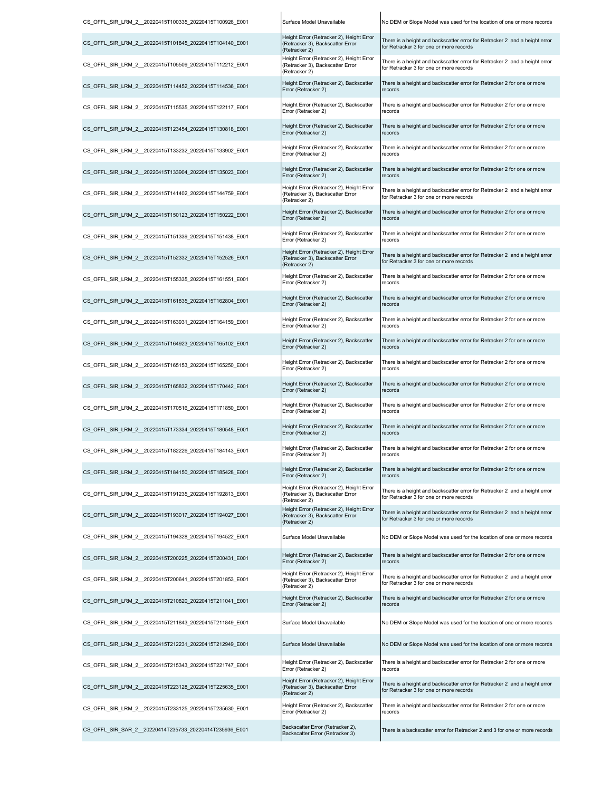| CS_OFFL_SIR_LRM_2__20220415T100335_20220415T100926_E001 | Surface Model Unavailable                                                                     | No DEM or Slope Model was used for the location of one or more records                                                |
|---------------------------------------------------------|-----------------------------------------------------------------------------------------------|-----------------------------------------------------------------------------------------------------------------------|
| CS OFFL SIR LRM 2 20220415T101845 20220415T104140 E001  | Height Error (Retracker 2), Height Error<br>(Retracker 3), Backscatter Error<br>(Retracker 2) | There is a height and backscatter error for Retracker 2 and a height error<br>for Retracker 3 for one or more records |
| CS_OFFL_SIR_LRM_2_20220415T105509_20220415T112212_E001  | Height Error (Retracker 2), Height Error<br>(Retracker 3), Backscatter Error<br>(Retracker 2) | There is a height and backscatter error for Retracker 2 and a height error<br>for Retracker 3 for one or more records |
| CS OFFL SIR LRM 2 20220415T114452 20220415T114536 E001  | Height Error (Retracker 2), Backscatter<br>Error (Retracker 2)                                | There is a height and backscatter error for Retracker 2 for one or more<br>records                                    |
| CS OFFL SIR LRM 2 20220415T115535 20220415T122117 E001  | Height Error (Retracker 2), Backscatter<br>Error (Retracker 2)                                | There is a height and backscatter error for Retracker 2 for one or more<br>records                                    |
| CS_OFFL_SIR_LRM_2_20220415T123454_20220415T130818_E001  | Height Error (Retracker 2), Backscatter<br>Error (Retracker 2)                                | There is a height and backscatter error for Retracker 2 for one or more<br>records                                    |
| CS OFFL SIR LRM 2 20220415T133232 20220415T133902 E001  | Height Error (Retracker 2), Backscatter<br>Error (Retracker 2)                                | There is a height and backscatter error for Retracker 2 for one or more<br>records                                    |
| CS OFFL SIR LRM 2 20220415T133904 20220415T135023 E001  | Height Error (Retracker 2), Backscatter<br>Error (Retracker 2)                                | There is a height and backscatter error for Retracker 2 for one or more<br>records                                    |
| CS_OFFL_SIR_LRM_2_20220415T141402_20220415T144759_E001  | Height Error (Retracker 2), Height Error<br>(Retracker 3), Backscatter Error<br>(Retracker 2) | There is a height and backscatter error for Retracker 2 and a height error<br>for Retracker 3 for one or more records |
| CS_OFFL_SIR_LRM_2__20220415T150123_20220415T150222_E001 | Height Error (Retracker 2), Backscatter<br>Error (Retracker 2)                                | There is a height and backscatter error for Retracker 2 for one or more<br>records                                    |
| CS OFFL SIR LRM 2 20220415T151339 20220415T151438 E001  | Height Error (Retracker 2), Backscatter<br>Error (Retracker 2)                                | There is a height and backscatter error for Retracker 2 for one or more<br>records                                    |
| CS OFFL SIR LRM 2 20220415T152332 20220415T152526 E001  | Height Error (Retracker 2), Height Error<br>(Retracker 3), Backscatter Error<br>(Retracker 2) | There is a height and backscatter error for Retracker 2 and a height error<br>for Retracker 3 for one or more records |
| CS_OFFL_SIR_LRM_2_20220415T155335_20220415T161551_E001  | Height Error (Retracker 2), Backscatter<br>Error (Retracker 2)                                | There is a height and backscatter error for Retracker 2 for one or more<br>records                                    |
| CS OFFL SIR LRM 2 20220415T161835 20220415T162804 E001  | Height Error (Retracker 2), Backscatter<br>Error (Retracker 2)                                | There is a height and backscatter error for Retracker 2 for one or more<br>records                                    |
| CS_OFFL_SIR_LRM_2_20220415T163931_20220415T164159_E001  | Height Error (Retracker 2), Backscatter<br>Error (Retracker 2)                                | There is a height and backscatter error for Retracker 2 for one or more<br>records                                    |
| CS OFFL SIR LRM 2 20220415T164923 20220415T165102 E001  | Height Error (Retracker 2), Backscatter<br>Error (Retracker 2)                                | There is a height and backscatter error for Retracker 2 for one or more<br>records                                    |
| CS OFFL SIR LRM 2 20220415T165153 20220415T165250 E001  | Height Error (Retracker 2), Backscatter<br>Error (Retracker 2)                                | There is a height and backscatter error for Retracker 2 for one or more<br>records                                    |
| CS OFFL SIR LRM 2 20220415T165832 20220415T170442 E001  | Height Error (Retracker 2), Backscatter<br>Error (Retracker 2)                                | There is a height and backscatter error for Retracker 2 for one or more<br>records                                    |
| CS OFFL SIR LRM 2 20220415T170516 20220415T171850 E001  | Height Error (Retracker 2), Backscatter<br>Error (Retracker 2)                                | There is a height and backscatter error for Retracker 2 for one or more<br>records                                    |
| CS OFFL SIR LRM 2 20220415T173334 20220415T180548 E001  | Height Error (Retracker 2), Backscatter<br>Error (Retracker 2)                                | There is a height and backscatter error for Retracker 2 for one or more<br>records                                    |
| CS_OFFL_SIR_LRM_2_20220415T182226_20220415T184143_E001  | Height Error (Retracker 2), Backscatter<br>Error (Retracker 2)                                | There is a height and backscatter error for Retracker 2 for one or more<br>records                                    |
| CS_OFFL_SIR_LRM_2__20220415T184150_20220415T185428_E001 | Height Error (Retracker 2), Backscatter<br>Error (Retracker 2)                                | There is a height and backscatter error for Retracker 2 for one or more<br>records                                    |
| CS OFFL SIR LRM 2 20220415T191235 20220415T192813 E001  | Height Error (Retracker 2), Height Error<br>(Retracker 3), Backscatter Error<br>(Retracker 2) | There is a height and backscatter error for Retracker 2 and a height error<br>for Retracker 3 for one or more records |
| CS OFFL SIR LRM 2 20220415T193017 20220415T194027 E001  | Height Error (Retracker 2), Height Error<br>(Retracker 3), Backscatter Error<br>(Retracker 2) | There is a height and backscatter error for Retracker 2 and a height error<br>for Retracker 3 for one or more records |
| CS OFFL SIR LRM 2 20220415T194328 20220415T194522 E001  | Surface Model Unavailable                                                                     | No DEM or Slope Model was used for the location of one or more records                                                |
| CS OFFL SIR LRM 2 20220415T200225 20220415T200431 E001  | Height Error (Retracker 2), Backscatter<br>Error (Retracker 2)                                | There is a height and backscatter error for Retracker 2 for one or more<br>records                                    |
| CS OFFL SIR LRM 2 20220415T200641 20220415T201853 E001  | Height Error (Retracker 2), Height Error<br>(Retracker 3), Backscatter Error<br>(Retracker 2) | There is a height and backscatter error for Retracker 2 and a height error<br>for Retracker 3 for one or more records |
| CS OFFL SIR LRM 2 20220415T210820 20220415T211041 E001  | Height Error (Retracker 2), Backscatter<br>Error (Retracker 2)                                | There is a height and backscatter error for Retracker 2 for one or more<br>records                                    |
| CS OFFL SIR LRM 2 20220415T211843 20220415T211849 E001  | Surface Model Unavailable                                                                     | No DEM or Slope Model was used for the location of one or more records                                                |
| CS OFFL SIR LRM 2 20220415T212231 20220415T212949 E001  | Surface Model Unavailable                                                                     | No DEM or Slope Model was used for the location of one or more records                                                |
| CS OFFL SIR LRM 2 20220415T215343 20220415T221747 E001  | Height Error (Retracker 2), Backscatter<br>Error (Retracker 2)                                | There is a height and backscatter error for Retracker 2 for one or more<br>records                                    |
| CS OFFL SIR LRM 2 20220415T223128 20220415T225635 E001  | Height Error (Retracker 2), Height Error<br>(Retracker 3), Backscatter Error<br>(Retracker 2) | There is a height and backscatter error for Retracker 2 and a height error<br>for Retracker 3 for one or more records |
| CS OFFL SIR LRM 2 20220415T233125 20220415T235630 E001  | Height Error (Retracker 2), Backscatter<br>Error (Retracker 2)                                | There is a height and backscatter error for Retracker 2 for one or more<br>records                                    |
| CS_OFFL_SIR_SAR_2_20220414T235733_20220414T235936_E001  | Backscatter Error (Retracker 2),<br>Backscatter Error (Retracker 3)                           | There is a backscatter error for Retracker 2 and 3 for one or more records                                            |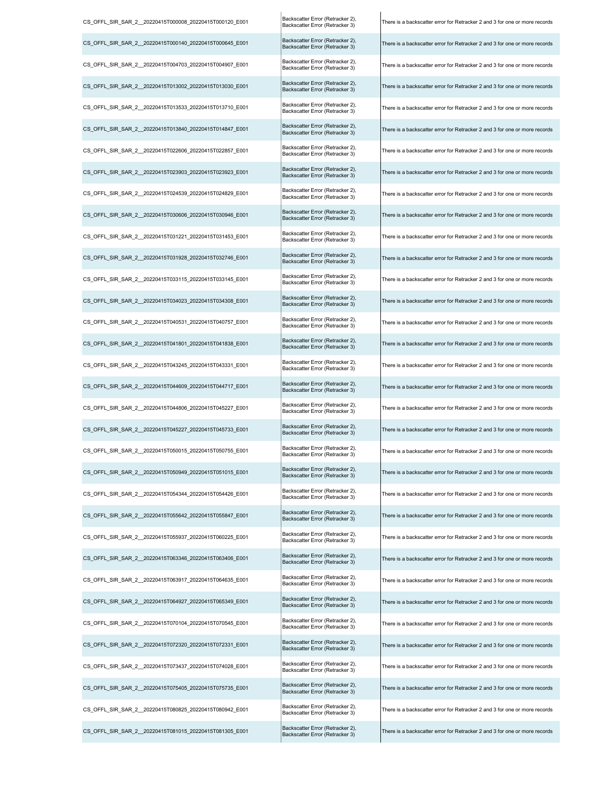| CS_OFFL_SIR_SAR_2__20220415T000008_20220415T000120_E001 | Backscatter Error (Retracker 2),<br>Backscatter Error (Retracker 3) | There is a backscatter error for Retracker 2 and 3 for one or more records |
|---------------------------------------------------------|---------------------------------------------------------------------|----------------------------------------------------------------------------|
| CS OFFL SIR SAR 2 20220415T000140 20220415T000645 E001  | Backscatter Error (Retracker 2),<br>Backscatter Error (Retracker 3) | There is a backscatter error for Retracker 2 and 3 for one or more records |
| CS_OFFL_SIR_SAR_2__20220415T004703_20220415T004907_E001 | Backscatter Error (Retracker 2),<br>Backscatter Error (Retracker 3) | There is a backscatter error for Retracker 2 and 3 for one or more records |
| CS OFFL SIR SAR 2 20220415T013002 20220415T013030 E001  | Backscatter Error (Retracker 2),<br>Backscatter Error (Retracker 3) | There is a backscatter error for Retracker 2 and 3 for one or more records |
| CS_OFFL_SIR_SAR_2_20220415T013533_20220415T013710_E001  | Backscatter Error (Retracker 2),<br>Backscatter Error (Retracker 3) | There is a backscatter error for Retracker 2 and 3 for one or more records |
| CS_OFFL_SIR_SAR_2_20220415T013840_20220415T014847_E001  | Backscatter Error (Retracker 2),<br>Backscatter Error (Retracker 3) | There is a backscatter error for Retracker 2 and 3 for one or more records |
| CS_OFFL_SIR_SAR_2__20220415T022606_20220415T022857_E001 | Backscatter Error (Retracker 2),<br>Backscatter Error (Retracker 3) | There is a backscatter error for Retracker 2 and 3 for one or more records |
| CS_OFFL_SIR_SAR_2_20220415T023903_20220415T023923_E001  | Backscatter Error (Retracker 2),<br>Backscatter Error (Retracker 3) | There is a backscatter error for Retracker 2 and 3 for one or more records |
| CS_OFFL_SIR_SAR_2_20220415T024539_20220415T024829_E001  | Backscatter Error (Retracker 2),<br>Backscatter Error (Retracker 3) | There is a backscatter error for Retracker 2 and 3 for one or more records |
| CS OFFL SIR SAR 2 20220415T030606 20220415T030946 E001  | Backscatter Error (Retracker 2),<br>Backscatter Error (Retracker 3) | There is a backscatter error for Retracker 2 and 3 for one or more records |
| CS OFFL SIR SAR 2 20220415T031221 20220415T031453 E001  | Backscatter Error (Retracker 2),<br>Backscatter Error (Retracker 3) | There is a backscatter error for Retracker 2 and 3 for one or more records |
| CS OFFL SIR SAR 2 20220415T031928 20220415T032746 E001  | Backscatter Error (Retracker 2),<br>Backscatter Error (Retracker 3) | There is a backscatter error for Retracker 2 and 3 for one or more records |
| CS_OFFL_SIR_SAR_2__20220415T033115_20220415T033145_E001 | Backscatter Error (Retracker 2),<br>Backscatter Error (Retracker 3) | There is a backscatter error for Retracker 2 and 3 for one or more records |
| CS OFFL SIR SAR 2 20220415T034023 20220415T034308 E001  | Backscatter Error (Retracker 2),<br>Backscatter Error (Retracker 3) | There is a backscatter error for Retracker 2 and 3 for one or more records |
| CS_OFFL_SIR_SAR_2__20220415T040531_20220415T040757_E001 | Backscatter Error (Retracker 2),<br>Backscatter Error (Retracker 3) | There is a backscatter error for Retracker 2 and 3 for one or more records |
| CS_OFFL_SIR_SAR_2__20220415T041801_20220415T041838_E001 | Backscatter Error (Retracker 2),<br>Backscatter Error (Retracker 3) | There is a backscatter error for Retracker 2 and 3 for one or more records |
| CS OFFL SIR SAR 2 20220415T043245 20220415T043331 E001  | Backscatter Error (Retracker 2),<br>Backscatter Error (Retracker 3) | There is a backscatter error for Retracker 2 and 3 for one or more records |
| CS_OFFL_SIR_SAR_2_20220415T044609_20220415T044717_E001  | Backscatter Error (Retracker 2),<br>Backscatter Error (Retracker 3) | There is a backscatter error for Retracker 2 and 3 for one or more records |
| CS_OFFL_SIR_SAR_2_20220415T044806_20220415T045227_E001  | Backscatter Error (Retracker 2),<br>Backscatter Error (Retracker 3) | There is a backscatter error for Retracker 2 and 3 for one or more records |
| CS OFFL SIR SAR 2 20220415T045227 20220415T045733 E001  | Backscatter Error (Retracker 2),<br>Backscatter Error (Retracker 3) | There is a backscatter error for Retracker 2 and 3 for one or more records |
| CS_OFFL_SIR_SAR_2_20220415T050015_20220415T050755_E001  | Backscatter Error (Retracker 2),<br>Backscatter Error (Retracker 3) | There is a backscatter error for Retracker 2 and 3 for one or more records |
| CS_OFFL_SIR_SAR_2_20220415T050949_20220415T051015_E001  | Backscatter Error (Retracker 2),<br>Backscatter Error (Retracker 3) | There is a backscatter error for Retracker 2 and 3 for one or more records |
| CS OFFL SIR SAR 2 20220415T054344 20220415T054426 E001  | Backscatter Error (Retracker 2),<br>Backscatter Error (Retracker 3) | There is a backscatter error for Retracker 2 and 3 for one or more records |
| CS OFFL SIR SAR 2 20220415T055642 20220415T055847 E001  | Backscatter Error (Retracker 2),<br>Backscatter Error (Retracker 3) | There is a backscatter error for Retracker 2 and 3 for one or more records |
| CS OFFL SIR SAR 2 20220415T055937 20220415T060225 E001  | Backscatter Error (Retracker 2),<br>Backscatter Error (Retracker 3) | There is a backscatter error for Retracker 2 and 3 for one or more records |
| CS OFFL SIR SAR 2 20220415T063346 20220415T063406 E001  | Backscatter Error (Retracker 2),<br>Backscatter Error (Retracker 3) | There is a backscatter error for Retracker 2 and 3 for one or more records |
| CS_OFFL_SIR_SAR_2_20220415T063917_20220415T064635_E001  | Backscatter Error (Retracker 2),<br>Backscatter Error (Retracker 3) | There is a backscatter error for Retracker 2 and 3 for one or more records |
| CS OFFL SIR SAR 2 20220415T064927 20220415T065349 E001  | Backscatter Error (Retracker 2),<br>Backscatter Error (Retracker 3) | There is a backscatter error for Retracker 2 and 3 for one or more records |
| CS OFFL SIR SAR 2 20220415T070104 20220415T070545 E001  | Backscatter Error (Retracker 2),<br>Backscatter Error (Retracker 3) | There is a backscatter error for Retracker 2 and 3 for one or more records |
| CS OFFL SIR SAR 2 20220415T072320 20220415T072331 E001  | Backscatter Error (Retracker 2),<br>Backscatter Error (Retracker 3) | There is a backscatter error for Retracker 2 and 3 for one or more records |
| CS_OFFL_SIR_SAR_2__20220415T073437_20220415T074028_E001 | Backscatter Error (Retracker 2),<br>Backscatter Error (Retracker 3) | There is a backscatter error for Retracker 2 and 3 for one or more records |
| CS OFFL SIR SAR 2 20220415T075405 20220415T075735 E001  | Backscatter Error (Retracker 2),<br>Backscatter Error (Retracker 3) | There is a backscatter error for Retracker 2 and 3 for one or more records |
| CS OFFL SIR SAR 2 20220415T080825 20220415T080942 E001  | Backscatter Error (Retracker 2),<br>Backscatter Error (Retracker 3) | There is a backscatter error for Retracker 2 and 3 for one or more records |
| CS_OFFL_SIR_SAR_2_20220415T081015_20220415T081305_E001  | Backscatter Error (Retracker 2),<br>Backscatter Error (Retracker 3) | There is a backscatter error for Retracker 2 and 3 for one or more records |

 $\overline{\phantom{a}}$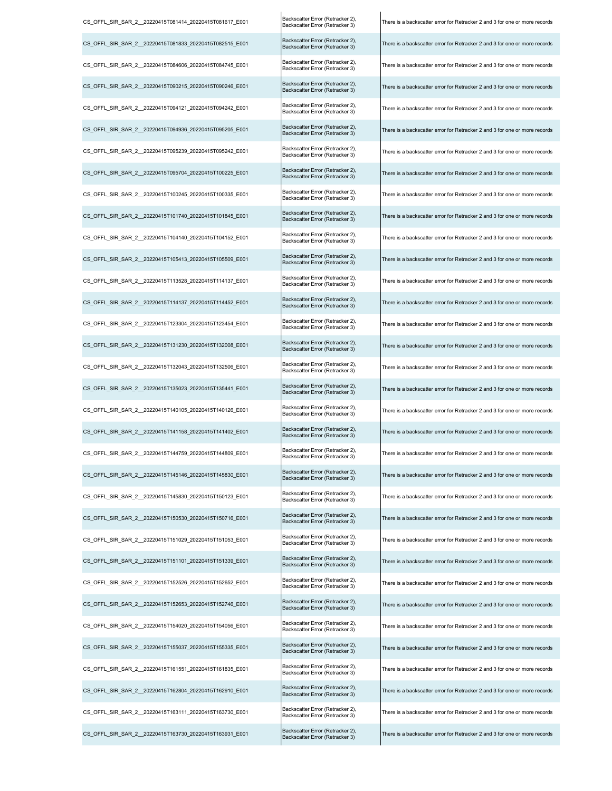| CS OFFL SIR SAR 2 20220415T081414 20220415T081617 E001  | Backscatter Error (Retracker 2),<br>Backscatter Error (Retracker 3) | There is a backscatter error for Retracker 2 and 3 for one or more records |
|---------------------------------------------------------|---------------------------------------------------------------------|----------------------------------------------------------------------------|
| CS OFFL SIR SAR 2 20220415T081833 20220415T082515 E001  | Backscatter Error (Retracker 2),<br>Backscatter Error (Retracker 3) | There is a backscatter error for Retracker 2 and 3 for one or more records |
| CS_OFFL_SIR_SAR_2_20220415T084606_20220415T084745_E001  | Backscatter Error (Retracker 2),<br>Backscatter Error (Retracker 3) | There is a backscatter error for Retracker 2 and 3 for one or more records |
| CS_OFFL_SIR_SAR_2_20220415T090215_20220415T090246_E001  | Backscatter Error (Retracker 2),<br>Backscatter Error (Retracker 3) | There is a backscatter error for Retracker 2 and 3 for one or more records |
| CS_OFFL_SIR_SAR_2_20220415T094121_20220415T094242_E001  | Backscatter Error (Retracker 2),<br>Backscatter Error (Retracker 3) | There is a backscatter error for Retracker 2 and 3 for one or more records |
| CS OFFL SIR SAR 2 20220415T094936 20220415T095205 E001  | Backscatter Error (Retracker 2),<br>Backscatter Error (Retracker 3) | There is a backscatter error for Retracker 2 and 3 for one or more records |
| CS OFFL SIR SAR 2 20220415T095239 20220415T095242 E001  | Backscatter Error (Retracker 2),<br>Backscatter Error (Retracker 3) | There is a backscatter error for Retracker 2 and 3 for one or more records |
| CS_OFFL_SIR_SAR_2_20220415T095704_20220415T100225_E001  | Backscatter Error (Retracker 2),<br>Backscatter Error (Retracker 3) | There is a backscatter error for Retracker 2 and 3 for one or more records |
| CS_OFFL_SIR_SAR_2_20220415T100245_20220415T100335_E001  | Backscatter Error (Retracker 2),<br>Backscatter Error (Retracker 3) | There is a backscatter error for Retracker 2 and 3 for one or more records |
| CS OFFL SIR SAR 2 20220415T101740 20220415T101845 E001  | Backscatter Error (Retracker 2),<br>Backscatter Error (Retracker 3) | There is a backscatter error for Retracker 2 and 3 for one or more records |
| CS_OFFL_SIR_SAR_2_20220415T104140_20220415T104152_E001  | Backscatter Error (Retracker 2),<br>Backscatter Error (Retracker 3) | There is a backscatter error for Retracker 2 and 3 for one or more records |
| CS OFFL SIR SAR 2 20220415T105413 20220415T105509 E001  | Backscatter Error (Retracker 2),<br>Backscatter Error (Retracker 3) | There is a backscatter error for Retracker 2 and 3 for one or more records |
| CS OFFL SIR SAR 2 20220415T113528 20220415T114137 E001  | Backscatter Error (Retracker 2),<br>Backscatter Error (Retracker 3) | There is a backscatter error for Retracker 2 and 3 for one or more records |
| CS_OFFL_SIR_SAR_2_20220415T114137_20220415T114452_E001  | Backscatter Error (Retracker 2),<br>Backscatter Error (Retracker 3) | There is a backscatter error for Retracker 2 and 3 for one or more records |
| CS_OFFL_SIR_SAR_2_20220415T123304_20220415T123454_E001  | Backscatter Error (Retracker 2),<br>Backscatter Error (Retracker 3) | There is a backscatter error for Retracker 2 and 3 for one or more records |
| CS_OFFL_SIR_SAR_2_20220415T131230_20220415T132008_E001  | Backscatter Error (Retracker 2),<br>Backscatter Error (Retracker 3) | There is a backscatter error for Retracker 2 and 3 for one or more records |
| CS OFFL SIR SAR 2 20220415T132043 20220415T132506 E001  | Backscatter Error (Retracker 2),<br>Backscatter Error (Retracker 3) | There is a backscatter error for Retracker 2 and 3 for one or more records |
| CS_OFFL_SIR_SAR_2__20220415T135023_20220415T135441_E001 | Backscatter Error (Retracker 2),<br>Backscatter Error (Retracker 3) | There is a backscatter error for Retracker 2 and 3 for one or more records |
| CS_OFFL_SIR_SAR_2_20220415T140105_20220415T140126_E001  | Backscatter Error (Retracker 2),<br>Backscatter Error (Retracker 3) | There is a backscatter error for Retracker 2 and 3 for one or more records |
| CS_OFFL_SIR_SAR_2_20220415T141158_20220415T141402_E001  | Backscatter Error (Retracker 2),<br>Backscatter Error (Retracker 3) | There is a backscatter error for Retracker 2 and 3 for one or more records |
| CS_OFFL_SIR_SAR_2_20220415T144759_20220415T144809_E001  | Backscatter Error (Retracker 2),<br>Backscatter Error (Retracker 3) | There is a backscatter error for Retracker 2 and 3 for one or more records |
| CS OFFL SIR SAR 2 20220415T145146 20220415T145830 E001  | Backscatter Error (Retracker 2),<br>Backscatter Error (Retracker 3) | There is a backscatter error for Retracker 2 and 3 for one or more records |
| CS_OFFL_SIR_SAR_2_20220415T145830_20220415T150123_E001  | Backscatter Error (Retracker 2),<br>Backscatter Error (Retracker 3) | There is a backscatter error for Retracker 2 and 3 for one or more records |
| CS OFFL SIR SAR 2 20220415T150530 20220415T150716 E001  | Backscatter Error (Retracker 2),<br>Backscatter Error (Retracker 3) | There is a backscatter error for Retracker 2 and 3 for one or more records |
| CS OFFL SIR SAR 2 20220415T151029 20220415T151053 E001  | Backscatter Error (Retracker 2),<br>Backscatter Error (Retracker 3) | There is a backscatter error for Retracker 2 and 3 for one or more records |
| CS_OFFL_SIR_SAR_2_20220415T151101_20220415T151339_E001  | Backscatter Error (Retracker 2),<br>Backscatter Error (Retracker 3) | There is a backscatter error for Retracker 2 and 3 for one or more records |
| CS OFFL SIR SAR 2 20220415T152526 20220415T152652 E001  | Backscatter Error (Retracker 2),<br>Backscatter Error (Retracker 3) | There is a backscatter error for Retracker 2 and 3 for one or more records |
| CS OFFL SIR SAR 2 20220415T152653 20220415T152746 E001  | Backscatter Error (Retracker 2),<br>Backscatter Error (Retracker 3) | There is a backscatter error for Retracker 2 and 3 for one or more records |
| CS_OFFL_SIR_SAR_2_20220415T154020_20220415T154056_E001  | Backscatter Error (Retracker 2),<br>Backscatter Error (Retracker 3) | There is a backscatter error for Retracker 2 and 3 for one or more records |
| CS_OFFL_SIR_SAR_2_20220415T155037_20220415T155335_E001  | Backscatter Error (Retracker 2),<br>Backscatter Error (Retracker 3) | There is a backscatter error for Retracker 2 and 3 for one or more records |
| CS_OFFL_SIR_SAR_2_20220415T161551_20220415T161835_E001  | Backscatter Error (Retracker 2),<br>Backscatter Error (Retracker 3) | There is a backscatter error for Retracker 2 and 3 for one or more records |
| CS OFFL SIR SAR 2 20220415T162804 20220415T162910 E001  | Backscatter Error (Retracker 2),<br>Backscatter Error (Retracker 3) | There is a backscatter error for Retracker 2 and 3 for one or more records |
| CS OFFL SIR SAR 2 20220415T163111 20220415T163730 E001  | Backscatter Error (Retracker 2),<br>Backscatter Error (Retracker 3) | There is a backscatter error for Retracker 2 and 3 for one or more records |
| CS_OFFL_SIR_SAR_2_20220415T163730_20220415T163931_E001  | Backscatter Error (Retracker 2),<br>Backscatter Error (Retracker 3) | There is a backscatter error for Retracker 2 and 3 for one or more records |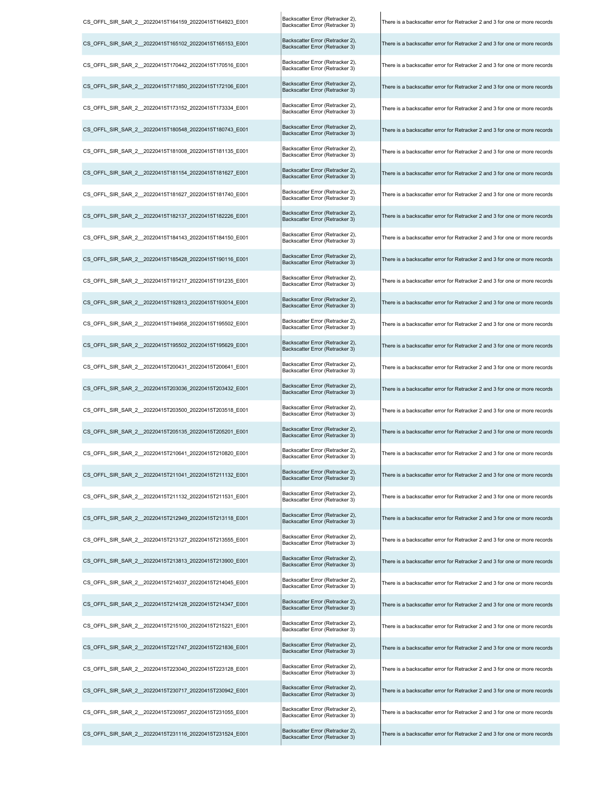| CS_OFFL_SIR_SAR_2__20220415T164159_20220415T164923_E001 | Backscatter Error (Retracker 2),<br>Backscatter Error (Retracker 3) | There is a backscatter error for Retracker 2 and 3 for one or more records |
|---------------------------------------------------------|---------------------------------------------------------------------|----------------------------------------------------------------------------|
| CS OFFL SIR SAR 2 20220415T165102 20220415T165153 E001  | Backscatter Error (Retracker 2),<br>Backscatter Error (Retracker 3) | There is a backscatter error for Retracker 2 and 3 for one or more records |
| CS_OFFL_SIR_SAR_2__20220415T170442_20220415T170516_E001 | Backscatter Error (Retracker 2),<br>Backscatter Error (Retracker 3) | There is a backscatter error for Retracker 2 and 3 for one or more records |
| CS_OFFL_SIR_SAR_2__20220415T171850_20220415T172106_E001 | Backscatter Error (Retracker 2),<br>Backscatter Error (Retracker 3) | There is a backscatter error for Retracker 2 and 3 for one or more records |
| CS_OFFL_SIR_SAR_2__20220415T173152_20220415T173334_E001 | Backscatter Error (Retracker 2),<br>Backscatter Error (Retracker 3) | There is a backscatter error for Retracker 2 and 3 for one or more records |
| CS_OFFL_SIR_SAR_2__20220415T180548_20220415T180743_E001 | Backscatter Error (Retracker 2),<br>Backscatter Error (Retracker 3) | There is a backscatter error for Retracker 2 and 3 for one or more records |
| CS OFFL SIR SAR 2 20220415T181008 20220415T181135 E001  | Backscatter Error (Retracker 2),<br>Backscatter Error (Retracker 3) | There is a backscatter error for Retracker 2 and 3 for one or more records |
| CS_OFFL_SIR_SAR_2__20220415T181154_20220415T181627_E001 | Backscatter Error (Retracker 2),<br>Backscatter Error (Retracker 3) | There is a backscatter error for Retracker 2 and 3 for one or more records |
| CS_OFFL_SIR_SAR_2__20220415T181627_20220415T181740_E001 | Backscatter Error (Retracker 2),<br>Backscatter Error (Retracker 3) | There is a backscatter error for Retracker 2 and 3 for one or more records |
| CS_OFFL_SIR_SAR_2__20220415T182137_20220415T182226_E001 | Backscatter Error (Retracker 2),<br>Backscatter Error (Retracker 3) | There is a backscatter error for Retracker 2 and 3 for one or more records |
| CS_OFFL_SIR_SAR_2__20220415T184143_20220415T184150_E001 | Backscatter Error (Retracker 2),<br>Backscatter Error (Retracker 3) | There is a backscatter error for Retracker 2 and 3 for one or more records |
| CS OFFL SIR SAR 2 20220415T185428 20220415T190116 E001  | Backscatter Error (Retracker 2),<br>Backscatter Error (Retracker 3) | There is a backscatter error for Retracker 2 and 3 for one or more records |
| CS OFFL SIR SAR 2 20220415T191217 20220415T191235 E001  | Backscatter Error (Retracker 2),<br>Backscatter Error (Retracker 3) | There is a backscatter error for Retracker 2 and 3 for one or more records |
| CS_OFFL_SIR_SAR_2__20220415T192813_20220415T193014_E001 | Backscatter Error (Retracker 2),<br>Backscatter Error (Retracker 3) | There is a backscatter error for Retracker 2 and 3 for one or more records |
| CS_OFFL_SIR_SAR_2__20220415T194958_20220415T195502_E001 | Backscatter Error (Retracker 2),<br>Backscatter Error (Retracker 3) | There is a backscatter error for Retracker 2 and 3 for one or more records |
| CS_OFFL_SIR_SAR_2__20220415T195502_20220415T195629_E001 | Backscatter Error (Retracker 2),<br>Backscatter Error (Retracker 3) | There is a backscatter error for Retracker 2 and 3 for one or more records |
| CS_OFFL_SIR_SAR_2__20220415T200431_20220415T200641_E001 | Backscatter Error (Retracker 2),<br>Backscatter Error (Retracker 3) | There is a backscatter error for Retracker 2 and 3 for one or more records |
| CS_OFFL_SIR_SAR_2__20220415T203036_20220415T203432_E001 | Backscatter Error (Retracker 2),<br>Backscatter Error (Retracker 3) | There is a backscatter error for Retracker 2 and 3 for one or more records |
| CS_OFFL_SIR_SAR_2__20220415T203500_20220415T203518_E001 | Backscatter Error (Retracker 2),<br>Backscatter Error (Retracker 3) | There is a backscatter error for Retracker 2 and 3 for one or more records |
| CS_OFFL_SIR_SAR_2__20220415T205135_20220415T205201_E001 | Backscatter Error (Retracker 2),<br>Backscatter Error (Retracker 3) | There is a backscatter error for Retracker 2 and 3 for one or more records |
| CS_OFFL_SIR_SAR_2__20220415T210641_20220415T210820_E001 | Backscatter Error (Retracker 2),<br>Backscatter Error (Retracker 3) | There is a backscatter error for Retracker 2 and 3 for one or more records |
| CS OFFL SIR SAR 2 20220415T211041 20220415T211132 E001  | Backscatter Error (Retracker 2),<br>Backscatter Error (Retracker 3) | There is a backscatter error for Retracker 2 and 3 for one or more records |
| CS OFFL SIR SAR 2 20220415T211132 20220415T211531 E001  | Backscatter Error (Retracker 2),<br>Backscatter Error (Retracker 3) | There is a backscatter error for Retracker 2 and 3 for one or more records |
| CS_OFFL_SIR_SAR_2__20220415T212949_20220415T213118_E001 | Backscatter Error (Retracker 2),<br>Backscatter Error (Retracker 3) | There is a backscatter error for Retracker 2 and 3 for one or more records |
| CS_OFFL_SIR_SAR_2__20220415T213127_20220415T213555_E001 | Backscatter Error (Retracker 2),<br>Backscatter Error (Retracker 3) | There is a backscatter error for Retracker 2 and 3 for one or more records |
| CS OFFL SIR SAR 2 20220415T213813 20220415T213900 E001  | Backscatter Error (Retracker 2),<br>Backscatter Error (Retracker 3) | There is a backscatter error for Retracker 2 and 3 for one or more records |
| CS OFFL SIR SAR 2 20220415T214037 20220415T214045 E001  | Backscatter Error (Retracker 2),<br>Backscatter Error (Retracker 3) | There is a backscatter error for Retracker 2 and 3 for one or more records |
| CS_OFFL_SIR_SAR_2__20220415T214128_20220415T214347_E001 | Backscatter Error (Retracker 2),<br>Backscatter Error (Retracker 3) | There is a backscatter error for Retracker 2 and 3 for one or more records |
| CS_OFFL_SIR_SAR_2_20220415T215100_20220415T215221_E001  | Backscatter Error (Retracker 2),<br>Backscatter Error (Retracker 3) | There is a backscatter error for Retracker 2 and 3 for one or more records |
| CS_OFFL_SIR_SAR_2__20220415T221747_20220415T221836_E001 | Backscatter Error (Retracker 2),<br>Backscatter Error (Retracker 3) | There is a backscatter error for Retracker 2 and 3 for one or more records |
| CS_OFFL_SIR_SAR_2__20220415T223040_20220415T223128_E001 | Backscatter Error (Retracker 2),<br>Backscatter Error (Retracker 3) | There is a backscatter error for Retracker 2 and 3 for one or more records |
| CS OFFL SIR SAR 2 20220415T230717 20220415T230942 E001  | Backscatter Error (Retracker 2),<br>Backscatter Error (Retracker 3) | There is a backscatter error for Retracker 2 and 3 for one or more records |
| CS_OFFL_SIR_SAR_2__20220415T230957_20220415T231055_E001 | Backscatter Error (Retracker 2),<br>Backscatter Error (Retracker 3) | There is a backscatter error for Retracker 2 and 3 for one or more records |
| CS_OFFL_SIR_SAR_2__20220415T231116_20220415T231524_E001 | Backscatter Error (Retracker 2),<br>Backscatter Error (Retracker 3) | There is a backscatter error for Retracker 2 and 3 for one or more records |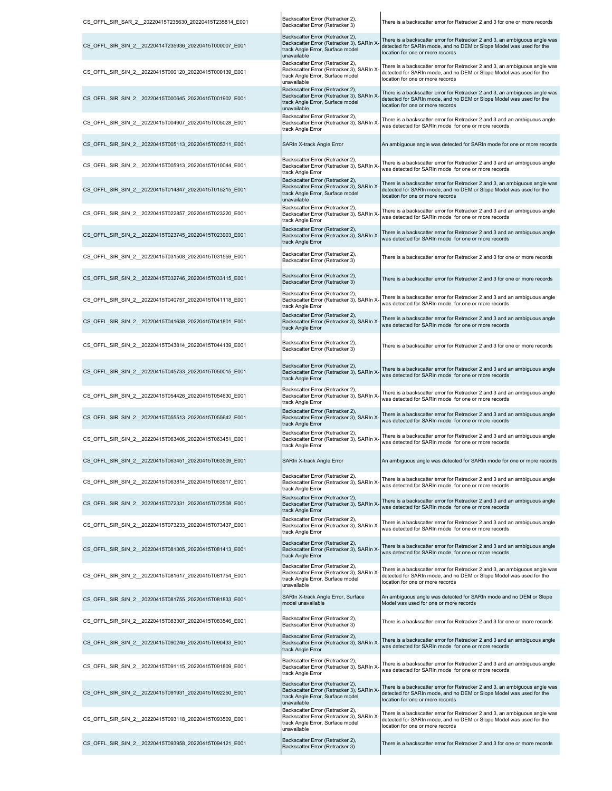| CS_OFFL_SIR_SAR_2_20220415T235630_20220415T235814_E001  | Backscatter Error (Retracker 2),<br>Backscatter Error (Retracker 3)                                                              | There is a backscatter error for Retracker 2 and 3 for one or more records                                                                                                            |
|---------------------------------------------------------|----------------------------------------------------------------------------------------------------------------------------------|---------------------------------------------------------------------------------------------------------------------------------------------------------------------------------------|
| CS_OFFL_SIR_SIN_2_20220414T235936_20220415T000007_E001  | Backscatter Error (Retracker 2),<br>Backscatter Error (Retracker 3), SARIn X<br>track Angle Error, Surface model<br>unavailable  | There is a backscatter error for Retracker 2 and 3, an ambiguous angle was<br>detected for SARIn mode, and no DEM or Slope Model was used for the<br>location for one or more records |
| CS OFFL SIR SIN 2 20220415T000120 20220415T000139 E001  | Backscatter Error (Retracker 2),<br>Backscatter Error (Retracker 3), SARIn ><br>track Angle Error, Surface model<br>unavailable  | There is a backscatter error for Retracker 2 and 3, an ambiguous angle was<br>detected for SARIn mode, and no DEM or Slope Model was used for the<br>location for one or more records |
| CS_OFFL_SIR_SIN_2_20220415T000645_20220415T001902_E001  | Backscatter Error (Retracker 2),<br>Backscatter Error (Retracker 3), SARIn X<br>track Angle Error, Surface model<br>unavailable  | There is a backscatter error for Retracker 2 and 3, an ambiguous angle was<br>detected for SARIn mode, and no DEM or Slope Model was used for the<br>location for one or more records |
| CS OFFL SIR SIN 2 20220415T004907 20220415T005028 E001  | Backscatter Error (Retracker 2),<br>Backscatter Error (Retracker 3), SARIn X<br>track Angle Error                                | There is a backscatter error for Retracker 2 and 3 and an ambiguous angle<br>was detected for SARIn mode for one or more records                                                      |
| CS OFFL SIR SIN 2 20220415T005113 20220415T005311 E001  | SARIn X-track Angle Error                                                                                                        | An ambiguous angle was detected for SARIn mode for one or more records                                                                                                                |
| CS OFFL SIR SIN 2 20220415T005913 20220415T010044 E001  | Backscatter Error (Retracker 2),<br>Backscatter Error (Retracker 3), SARIn X<br>track Angle Error                                | There is a backscatter error for Retracker 2 and 3 and an ambiguous angle<br>was detected for SARIn mode for one or more records                                                      |
| CS_OFFL_SIR_SIN_2_20220415T014847_20220415T015215_E001  | Backscatter Error (Retracker 2),<br>Backscatter Error (Retracker 3), SARIn X<br>track Angle Error, Surface model<br>unavailable  | There is a backscatter error for Retracker 2 and 3, an ambiguous angle was<br>detected for SARIn mode, and no DEM or Slope Model was used for the<br>location for one or more records |
| CS_OFFL_SIR_SIN_2_20220415T022857_20220415T023220_E001  | Backscatter Error (Retracker 2),<br>Backscatter Error (Retracker 3), SARIn X<br>track Angle Error                                | There is a backscatter error for Retracker 2 and 3 and an ambiguous angle<br>was detected for SARIn mode for one or more records                                                      |
| CS OFFL SIR SIN 2 20220415T023745 20220415T023903 E001  | Backscatter Error (Retracker 2),<br>Backscatter Error (Retracker 3), SARIn X<br>track Angle Error                                | There is a backscatter error for Retracker 2 and 3 and an ambiguous angle<br>was detected for SARIn mode for one or more records                                                      |
| CS OFFL SIR SIN 2 20220415T031508 20220415T031559 E001  | Backscatter Error (Retracker 2),<br>Backscatter Error (Retracker 3)                                                              | There is a backscatter error for Retracker 2 and 3 for one or more records                                                                                                            |
| CS_OFFL_SIR_SIN_2_20220415T032746_20220415T033115_E001  | Backscatter Error (Retracker 2),<br>Backscatter Error (Retracker 3)                                                              | There is a backscatter error for Retracker 2 and 3 for one or more records                                                                                                            |
| CS OFFL SIR SIN 2 20220415T040757 20220415T041118 E001  | Backscatter Error (Retracker 2),<br>Backscatter Error (Retracker 3), SARIn X-<br>track Angle Error                               | There is a backscatter error for Retracker 2 and 3 and an ambiguous angle<br>was detected for SARIn mode for one or more records                                                      |
| CS_OFFL_SIR_SIN_2_20220415T041638_20220415T041801_E001  | Backscatter Error (Retracker 2),<br>Backscatter Error (Retracker 3), SARIn X<br>track Angle Error                                | There is a backscatter error for Retracker 2 and 3 and an ambiguous angle<br>was detected for SARIn mode for one or more records                                                      |
| CS_OFFL_SIR_SIN_2_20220415T043814_20220415T044139_E001  | Backscatter Error (Retracker 2),<br>Backscatter Error (Retracker 3)                                                              | There is a backscatter error for Retracker 2 and 3 for one or more records                                                                                                            |
| CS OFFL SIR SIN 2 20220415T045733 20220415T050015 E001  | Backscatter Error (Retracker 2),<br>Backscatter Error (Retracker 3), SARIn X-<br>track Angle Error                               | There is a backscatter error for Retracker 2 and 3 and an ambiguous angle<br>was detected for SARIn mode for one or more records                                                      |
| CS OFFL SIR SIN 2 20220415T054426 20220415T054630 E001  | Backscatter Error (Retracker 2),<br>Backscatter Error (Retracker 3), SARIn X-<br>track Angle Error                               | There is a backscatter error for Retracker 2 and 3 and an ambiguous angle<br>was detected for SARIn mode for one or more records                                                      |
| CS_OFFL_SIR_SIN_2_20220415T055513_20220415T055642 E001  | Backscatter Error (Retracker 2),<br>Backscatter Error (Retracker 3), SARIn X<br>track Angle Error                                | There is a backscatter error for Retracker 2 and 3 and an ambiguous angle<br>was detected for SARIn mode for one or more records                                                      |
| CS OFFL SIR SIN 2 20220415T063406 20220415T063451 E001  | Backscatter Error (Retracker 2),<br>Backscatter Error (Retracker 3), SARIn X-<br>track Angle Error                               | There is a backscatter error for Retracker 2 and 3 and an ambiguous angle<br>was detected for SARIn mode for one or more records                                                      |
| CS OFFL SIR SIN 2 20220415T063451 20220415T063509 E001  | SARIn X-track Angle Error                                                                                                        | An ambiguous angle was detected for SARIn mode for one or more records                                                                                                                |
| CS_OFFL_SIR_SIN_2_20220415T063814_20220415T063917_E001  | Backscatter Error (Retracker 2),<br>Backscatter Error (Retracker 3), SARIn X<br>track Angle Error                                | There is a backscatter error for Retracker 2 and 3 and an ambiguous angle<br>was detected for SARIn mode for one or more records                                                      |
| CS OFFL SIR SIN 2 20220415T072331 20220415T072508 E001  | Backscatter Error (Retracker 2),<br>Backscatter Error (Retracker 3), SARIn X-<br>track Angle Error                               | There is a backscatter error for Retracker 2 and 3 and an ambiguous angle<br>was detected for SARIn mode for one or more records                                                      |
| CS_OFFL_SIR_SIN_2_20220415T073233_20220415T073437_E001  | Backscatter Error (Retracker 2),<br>Backscatter Error (Retracker 3), SARIn X<br>track Angle Error                                | There is a backscatter error for Retracker 2 and 3 and an ambiguous angle<br>was detected for SARIn mode for one or more records                                                      |
| CS_OFFL_SIR_SIN_2_20220415T081305_20220415T081413_E001  | Backscatter Error (Retracker 2),<br>Backscatter Error (Retracker 3), SARIn X<br>track Angle Error                                | There is a backscatter error for Retracker 2 and 3 and an ambiguous angle<br>was detected for SARIn mode for one or more records                                                      |
| CS_OFFL_SIR_SIN_2__20220415T081617_20220415T081754_E001 | Backscatter Error (Retracker 2),<br>Backscatter Error (Retracker 3), SARIn ><br>track Angle Error, Surface model<br>unavailable  | There is a backscatter error for Retracker 2 and 3, an ambiguous angle was<br>detected for SARIn mode, and no DEM or Slope Model was used for the<br>location for one or more records |
| CS OFFL SIR SIN 2 20220415T081755 20220415T081833 E001  | SARIn X-track Angle Error, Surface<br>model unavailable                                                                          | An ambiguous angle was detected for SARIn mode and no DEM or Slope<br>Model was used for one or more records                                                                          |
| CS_OFFL_SIR_SIN_2_20220415T083307_20220415T083546_E001  | Backscatter Error (Retracker 2),<br>Backscatter Error (Retracker 3)                                                              | There is a backscatter error for Retracker 2 and 3 for one or more records                                                                                                            |
| CS_OFFL_SIR_SIN_2_20220415T090246_20220415T090433_E001  | Backscatter Error (Retracker 2),<br>Backscatter Error (Retracker 3), SARIn X-<br>track Angle Error                               | There is a backscatter error for Retracker 2 and 3 and an ambiguous angle<br>was detected for SARIn mode for one or more records                                                      |
| CS_OFFL_SIR_SIN_2_20220415T091115_20220415T091809_E001  | Backscatter Error (Retracker 2),<br>Backscatter Error (Retracker 3), SARIn X-<br>track Angle Error                               | There is a backscatter error for Retracker 2 and 3 and an ambiguous angle<br>was detected for SARIn mode for one or more records                                                      |
| CS_OFFL_SIR_SIN_2_20220415T091931_20220415T092250_E001  | Backscatter Error (Retracker 2),<br>Backscatter Error (Retracker 3), SARIn X-<br>track Angle Error, Surface model<br>unavailable | There is a backscatter error for Retracker 2 and 3, an ambiguous angle was<br>detected for SARIn mode, and no DEM or Slope Model was used for the<br>location for one or more records |
| CS OFFL SIR SIN 2 20220415T093118 20220415T093509 E001  | Backscatter Error (Retracker 2),<br>Backscatter Error (Retracker 3), SARIn ><br>track Angle Error, Surface model<br>unavailable  | There is a backscatter error for Retracker 2 and 3, an ambiguous angle was<br>detected for SARIn mode, and no DEM or Slope Model was used for the<br>location for one or more records |
| CS_OFFL_SIR_SIN_2_20220415T093958_20220415T094121_E001  | Backscatter Error (Retracker 2),<br>Backscatter Error (Retracker 3)                                                              | There is a backscatter error for Retracker 2 and 3 for one or more records                                                                                                            |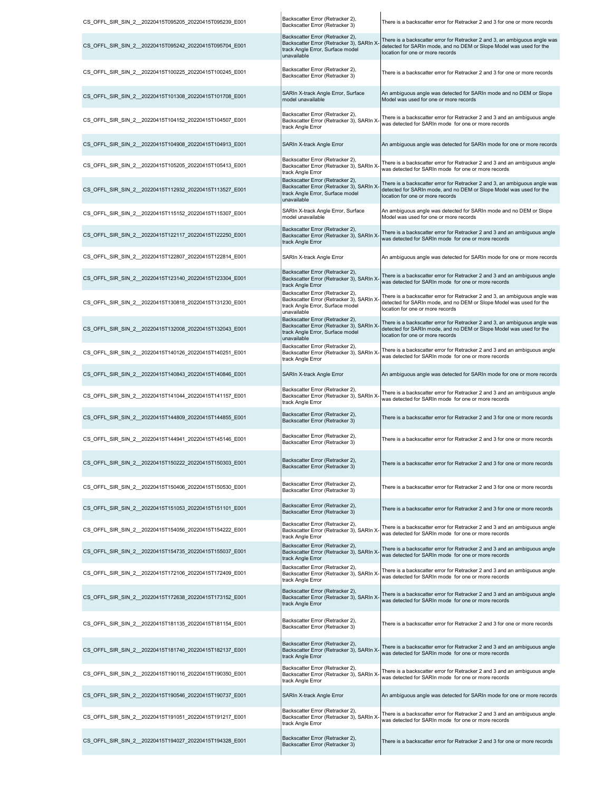| CS OFFL SIR SIN 2 20220415T095205 20220415T095239 E001  | Backscatter Error (Retracker 2),<br>Backscatter Error (Retracker 3)                                                             | There is a backscatter error for Retracker 2 and 3 for one or more records                                                                                                            |
|---------------------------------------------------------|---------------------------------------------------------------------------------------------------------------------------------|---------------------------------------------------------------------------------------------------------------------------------------------------------------------------------------|
| CS OFFL SIR SIN 2 20220415T095242 20220415T095704 E001  | Backscatter Error (Retracker 2),<br>Backscatter Error (Retracker 3), SARIn X<br>track Angle Error, Surface model<br>unavailable | There is a backscatter error for Retracker 2 and 3, an ambiguous angle was<br>detected for SARIn mode, and no DEM or Slope Model was used for the<br>location for one or more records |
| CS_OFFL_SIR_SIN_2_20220415T100225_20220415T100245_E001  | Backscatter Error (Retracker 2),<br>Backscatter Error (Retracker 3)                                                             | There is a backscatter error for Retracker 2 and 3 for one or more records                                                                                                            |
| CS_OFFL_SIR_SIN_2_20220415T101308_20220415T101708_E001  | SARIn X-track Angle Error, Surface<br>model unavailable                                                                         | An ambiguous angle was detected for SARIn mode and no DEM or Slope<br>Model was used for one or more records                                                                          |
| CS_OFFL_SIR_SIN_2_20220415T104152_20220415T104507_E001  | Backscatter Error (Retracker 2),<br>Backscatter Error (Retracker 3), SARIn X-<br>track Angle Error                              | There is a backscatter error for Retracker 2 and 3 and an ambiguous angle<br>was detected for SARIn mode for one or more records                                                      |
| CS OFFL SIR SIN 2 20220415T104908 20220415T104913 E001  | SARIn X-track Angle Error                                                                                                       | An ambiguous angle was detected for SARIn mode for one or more records                                                                                                                |
| CS OFFL SIR SIN 2 20220415T105205 20220415T105413 E001  | Backscatter Error (Retracker 2),<br>Backscatter Error (Retracker 3), SARIn X<br>track Angle Error                               | There is a backscatter error for Retracker 2 and 3 and an ambiguous angle<br>was detected for SARIn mode for one or more records                                                      |
| CS OFFL SIR SIN 2 20220415T112932 20220415T113527 E001  | Backscatter Error (Retracker 2),<br>Backscatter Error (Retracker 3), SARIn X<br>track Angle Error, Surface model<br>unavailable | There is a backscatter error for Retracker 2 and 3, an ambiguous angle was<br>detected for SARIn mode, and no DEM or Slope Model was used for the<br>location for one or more records |
| CS OFFL SIR SIN 2 20220415T115152 20220415T115307 E001  | SARIn X-track Angle Error, Surface<br>model unavailable                                                                         | An ambiguous angle was detected for SARIn mode and no DEM or Slope<br>Model was used for one or more records                                                                          |
| CS OFFL SIR SIN_2_20220415T122117_20220415T122250_E001  | Backscatter Error (Retracker 2),<br>Backscatter Error (Retracker 3), SARIn X<br>track Angle Error                               | There is a backscatter error for Retracker 2 and 3 and an ambiguous angle<br>was detected for SARIn mode for one or more records                                                      |
| CS_OFFL_SIR_SIN_2__20220415T122807_20220415T122814_E001 | SARIn X-track Angle Error                                                                                                       | An ambiguous angle was detected for SARIn mode for one or more records                                                                                                                |
| CS OFFL SIR SIN 2 20220415T123140 20220415T123304 E001  | Backscatter Error (Retracker 2),<br>Backscatter Error (Retracker 3), SARIn X<br>track Angle Error                               | There is a backscatter error for Retracker 2 and 3 and an ambiguous angle<br>was detected for SARIn mode for one or more records                                                      |
| CS OFFL SIR SIN 2 20220415T130818 20220415T131230 E001  | Backscatter Error (Retracker 2),<br>Backscatter Error (Retracker 3), SARIn X<br>track Angle Error, Surface model<br>unavailable | There is a backscatter error for Retracker 2 and 3, an ambiguous angle was<br>detected for SARIn mode, and no DEM or Slope Model was used for the<br>location for one or more records |
| CS OFFL SIR SIN 2 20220415T132008 20220415T132043 E001  | Backscatter Error (Retracker 2),<br>Backscatter Error (Retracker 3), SARIn X<br>track Angle Error, Surface model<br>unavailable | There is a backscatter error for Retracker 2 and 3, an ambiguous angle was<br>detected for SARIn mode, and no DEM or Slope Model was used for the<br>location for one or more records |
| CS_OFFL_SIR_SIN_2__20220415T140126_20220415T140251_E001 | Backscatter Error (Retracker 2),<br>Backscatter Error (Retracker 3), SARIn X<br>track Angle Error                               | There is a backscatter error for Retracker 2 and 3 and an ambiguous angle<br>was detected for SARIn mode for one or more records                                                      |
| CS OFFL SIR SIN 2 20220415T140843 20220415T140846 E001  | SARIn X-track Angle Error                                                                                                       | An ambiguous angle was detected for SARIn mode for one or more records                                                                                                                |
| CS_OFFL_SIR_SIN_2_20220415T141044_20220415T141157_E001  | Backscatter Error (Retracker 2),<br>Backscatter Error (Retracker 3), SARIn X-<br>track Angle Error                              | There is a backscatter error for Retracker 2 and 3 and an ambiguous angle<br>was detected for SARIn mode for one or more records                                                      |
| CS OFFL SIR SIN 2 20220415T144809 20220415T144855 E001  | Backscatter Error (Retracker 2),<br>Backscatter Error (Retracker 3)                                                             | There is a backscatter error for Retracker 2 and 3 for one or more records                                                                                                            |
| CS OFFL SIR SIN 2 20220415T144941 20220415T145146 E001  | Backscatter Error (Retracker 2),<br>Backscatter Error (Retracker 3)                                                             | There is a backscatter error for Retracker 2 and 3 for one or more records                                                                                                            |
| CS_OFFL_SIR_SIN_2_20220415T150222_20220415T150303_E001  | Backscatter Error (Retracker 2),<br>Backscatter Error (Retracker 3)                                                             | There is a backscatter error for Retracker 2 and 3 for one or more records                                                                                                            |
| CS OFFL SIR SIN 2 20220415T150406 20220415T150530 E001  | Backscatter Error (Retracker 2),<br>Backscatter Error (Retracker 3)                                                             | There is a backscatter error for Retracker 2 and 3 for one or more records                                                                                                            |
| CS OFFL SIR SIN 2 20220415T151053 20220415T151101 E001  | Backscatter Error (Retracker 2),<br>Backscatter Error (Retracker 3)                                                             | There is a backscatter error for Retracker 2 and 3 for one or more records                                                                                                            |
| CS OFFL SIR SIN 2 20220415T154056 20220415T154222 E001  | Backscatter Error (Retracker 2),<br>Backscatter Error (Retracker 3), SARIn X<br>track Angle Error                               | There is a backscatter error for Retracker 2 and 3 and an ambiguous angle<br>was detected for SARIn mode for one or more records                                                      |
| CS_OFFL_SIR_SIN_2_20220415T154735_20220415T155037_E001  | Backscatter Error (Retracker 2),<br>Backscatter Error (Retracker 3), SARIn X-<br>track Angle Error                              | There is a backscatter error for Retracker 2 and 3 and an ambiguous angle<br>was detected for SARIn mode for one or more records                                                      |
| CS OFFL SIR SIN 2 20220415T172106 20220415T172409 E001  | Backscatter Error (Retracker 2),<br>Backscatter Error (Retracker 3), SARIn X<br>track Angle Error                               | There is a backscatter error for Retracker 2 and 3 and an ambiguous angle<br>was detected for SARIn mode for one or more records                                                      |
| CS OFFL SIR SIN 2 20220415T172638 20220415T173152 E001  | Backscatter Error (Retracker 2),<br>Backscatter Error (Retracker 3), SARIn X<br>track Angle Error                               | There is a backscatter error for Retracker 2 and 3 and an ambiguous angle<br>was detected for SARIn mode for one or more records                                                      |
| CS_OFFL_SIR_SIN_2__20220415T181135_20220415T181154_E001 | Backscatter Error (Retracker 2),<br>Backscatter Error (Retracker 3)                                                             | There is a backscatter error for Retracker 2 and 3 for one or more records                                                                                                            |
| CS OFFL SIR SIN 2 20220415T181740 20220415T182137 E001  | Backscatter Error (Retracker 2),<br>Backscatter Error (Retracker 3), SARIn X<br>track Angle Error                               | There is a backscatter error for Retracker 2 and 3 and an ambiguous angle<br>was detected for SARIn mode for one or more records                                                      |
| CS OFFL SIR SIN 2 20220415T190116 20220415T190350 E001  | Backscatter Error (Retracker 2),<br>Backscatter Error (Retracker 3), SARIn X<br>track Angle Error                               | There is a backscatter error for Retracker 2 and 3 and an ambiguous angle<br>was detected for SARIn mode for one or more records                                                      |
| CS_OFFL_SIR_SIN_2_20220415T190546_20220415T190737_E001  | SARIn X-track Angle Error                                                                                                       | An ambiguous angle was detected for SARIn mode for one or more records                                                                                                                |
| CS OFFL SIR SIN 2 20220415T191051 20220415T191217 E001  | Backscatter Error (Retracker 2),<br>Backscatter Error (Retracker 3), SARIn X<br>track Angle Error                               | There is a backscatter error for Retracker 2 and 3 and an ambiguous angle<br>was detected for SARIn mode for one or more records                                                      |
| CS OFFL SIR SIN 2 20220415T194027 20220415T194328 E001  | Backscatter Error (Retracker 2),<br>Backscatter Error (Retracker 3)                                                             | There is a backscatter error for Retracker 2 and 3 for one or more records                                                                                                            |